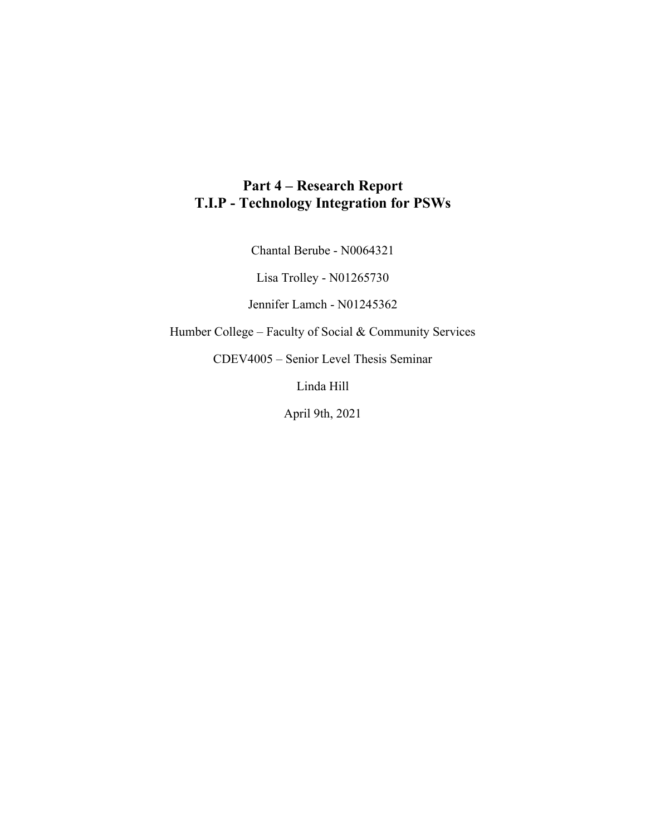### **Part 4 – Research Report T.I.P - Technology Integration for PSWs**

Chantal Berube - N0064321

Lisa Trolley - N01265730

Jennifer Lamch - N01245362

Humber College – Faculty of Social & Community Services

CDEV4005 – Senior Level Thesis Seminar

Linda Hill

April 9th, 2021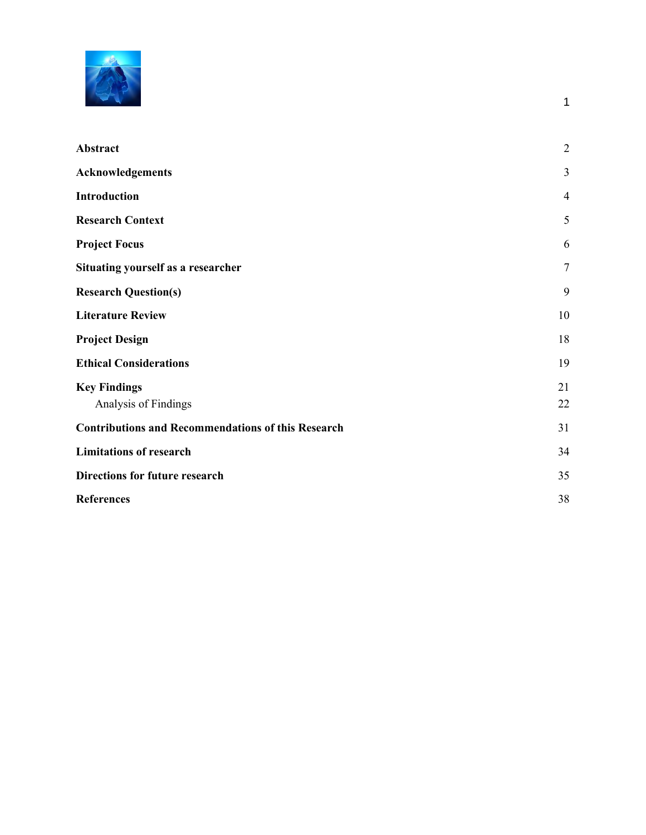

| Abstract                                                  | $\overline{2}$ |
|-----------------------------------------------------------|----------------|
| <b>Acknowledgements</b>                                   | 3              |
| Introduction                                              | $\overline{4}$ |
| <b>Research Context</b>                                   | 5              |
| <b>Project Focus</b>                                      | 6              |
| Situating yourself as a researcher                        | $\tau$         |
| <b>Research Question(s)</b>                               | 9              |
| <b>Literature Review</b>                                  | 10             |
| <b>Project Design</b>                                     | 18             |
| <b>Ethical Considerations</b>                             | 19             |
| <b>Key Findings</b><br>Analysis of Findings               | 21<br>22       |
| <b>Contributions and Recommendations of this Research</b> | 31             |
| <b>Limitations of research</b>                            | 34             |
| <b>Directions for future research</b>                     | 35             |
| <b>References</b>                                         | 38             |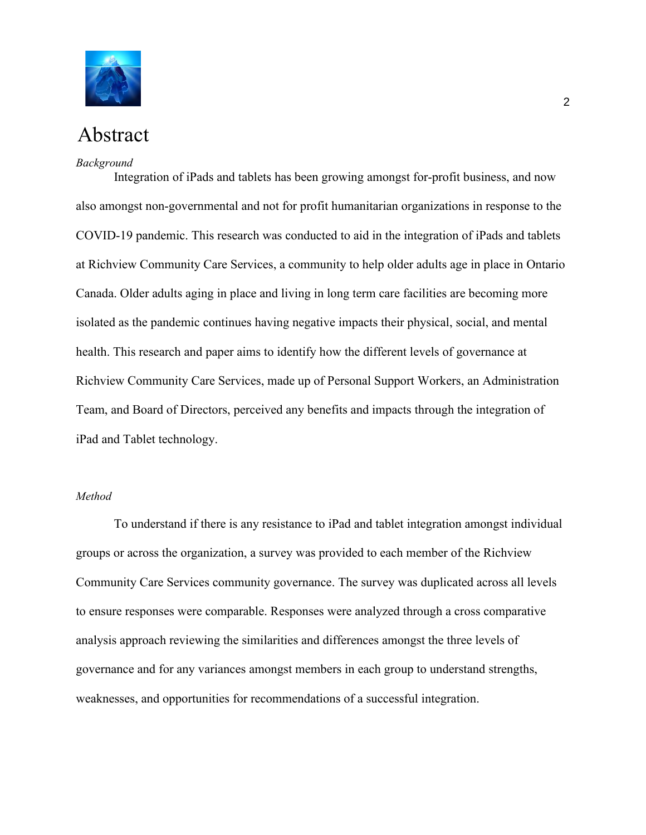

# <span id="page-2-0"></span>Abstract

#### *Background*

Integration of iPads and tablets has been growing amongst for-profit business, and now also amongst non-governmental and not for profit humanitarian organizations in response to the COVID-19 pandemic. This research was conducted to aid in the integration of iPads and tablets at Richview Community Care Services, a community to help older adults age in place in Ontario Canada. Older adults aging in place and living in long term care facilities are becoming more isolated as the pandemic continues having negative impacts their physical, social, and mental health. This research and paper aims to identify how the different levels of governance at Richview Community Care Services, made up of Personal Support Workers, an Administration Team, and Board of Directors, perceived any benefits and impacts through the integration of iPad and Tablet technology.

#### *Method*

To understand if there is any resistance to iPad and tablet integration amongst individual groups or across the organization, a survey was provided to each member of the Richview Community Care Services community governance. The survey was duplicated across all levels to ensure responses were comparable. Responses were analyzed through a cross comparative analysis approach reviewing the similarities and differences amongst the three levels of governance and for any variances amongst members in each group to understand strengths, weaknesses, and opportunities for recommendations of a successful integration.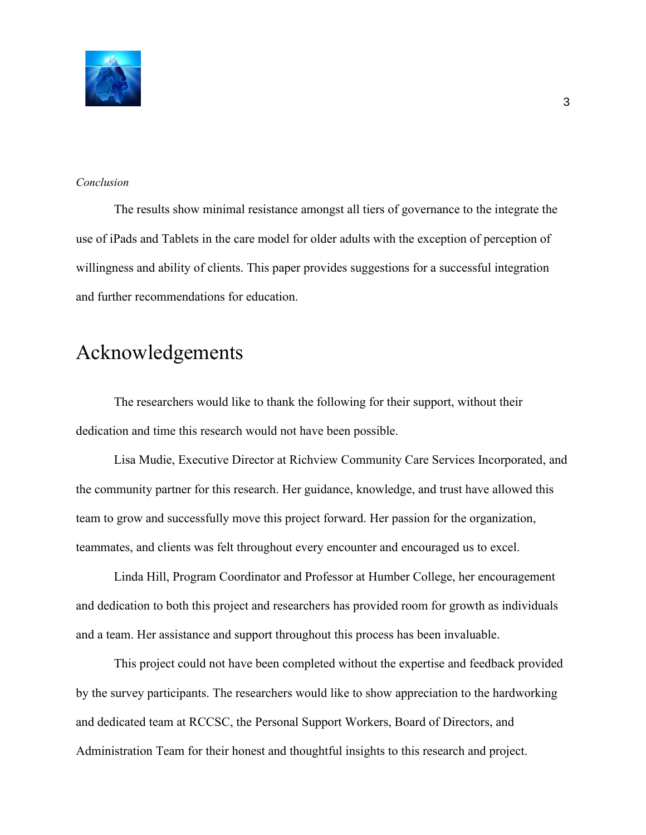

#### *Conclusion*

The results show minimal resistance amongst all tiers of governance to the integrate the use of iPads and Tablets in the care model for older adults with the exception of perception of willingness and ability of clients. This paper provides suggestions for a successful integration and further recommendations for education.

## <span id="page-3-0"></span>Acknowledgements

The researchers would like to thank the following for their support, without their dedication and time this research would not have been possible.

Lisa Mudie, Executive Director at Richview Community Care Services Incorporated, and the community partner for this research. Her guidance, knowledge, and trust have allowed this team to grow and successfully move this project forward. Her passion for the organization, teammates, and clients was felt throughout every encounter and encouraged us to excel.

Linda Hill, Program Coordinator and Professor at Humber College, her encouragement and dedication to both this project and researchers has provided room for growth as individuals and a team. Her assistance and support throughout this process has been invaluable.

This project could not have been completed without the expertise and feedback provided by the survey participants. The researchers would like to show appreciation to the hardworking and dedicated team at RCCSC, the Personal Support Workers, Board of Directors, and Administration Team for their honest and thoughtful insights to this research and project.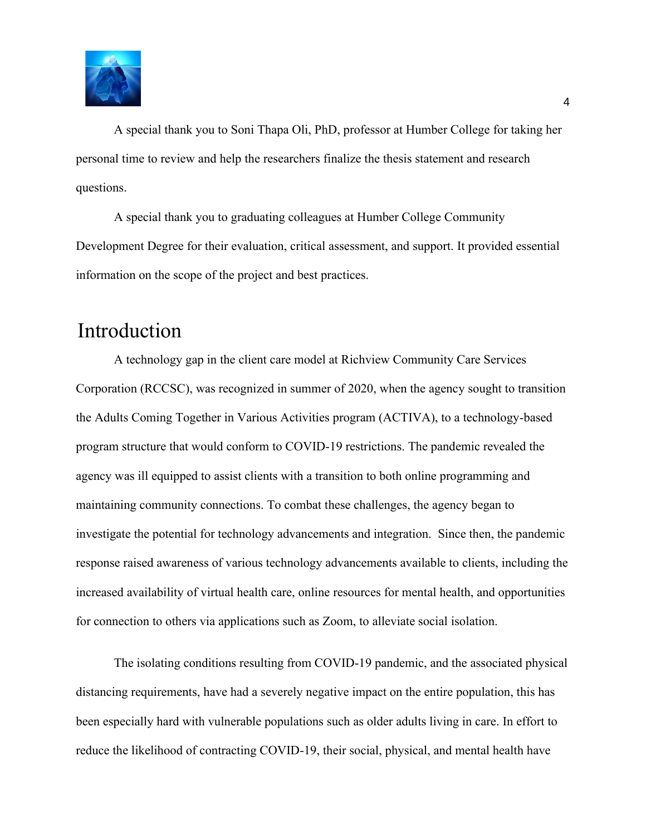

A special thank you to Soni Thapa Oli, PhD, professor at Humber College for taking her personal time to review and help the researchers finalize the thesis statement and research questions.

A special thank you to graduating colleagues at Humber College Community Development Degree for their evaluation, critical assessment, and support. It provided essential information on the scope of the project and best practices.

## <span id="page-4-0"></span>Introduction

A technology gap in the client care model at Richview Community Care Services Corporation (RCCSC), was recognized in summer of 2020, when the agency sought to transition the Adults Coming Together in Various Activities program (ACTIVA), to a technology-based program structure that would conform to COVID-19 restrictions. The pandemic revealed the agency was ill equipped to assist clients with a transition to both online programming and maintaining community connections. To combat these challenges, the agency began to investigate the potential for technology advancements and integration. Since then, the pandemic response raised awareness of various technology advancements available to clients, including the increased availability of virtual health care, online resources for mental health, and opportunities for connection to others via applications such as Zoom, to alleviate social isolation.

The isolating conditions resulting from COVID-19 pandemic, and the associated physical distancing requirements, have had a severely negative impact on the entire population, this has been especially hard with vulnerable populations such as older adults living in care. In effort to reduce the likelihood of contracting COVID-19, their social, physical, and mental health have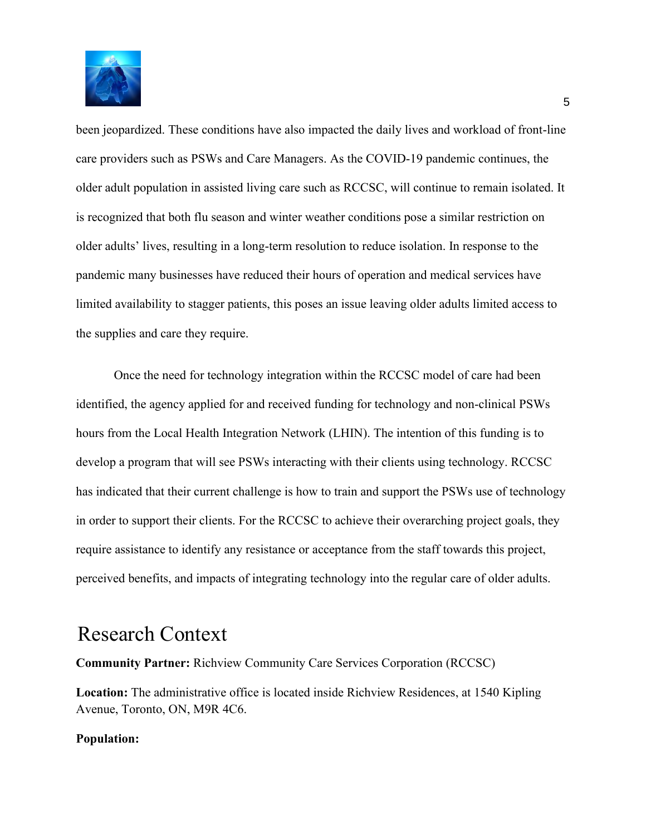

been jeopardized. These conditions have also impacted the daily lives and workload of front-line care providers such as PSWs and Care Managers. As the COVID-19 pandemic continues, the older adult population in assisted living care such as RCCSC, will continue to remain isolated. It is recognized that both flu season and winter weather conditions pose a similar restriction on older adults' lives, resulting in a long-term resolution to reduce isolation. In response to the pandemic many businesses have reduced their hours of operation and medical services have limited availability to stagger patients, this poses an issue leaving older adults limited access to the supplies and care they require.

Once the need for technology integration within the RCCSC model of care had been identified, the agency applied for and received funding for technology and non-clinical PSWs hours from the Local Health Integration Network (LHIN). The intention of this funding is to develop a program that will see PSWs interacting with their clients using technology. RCCSC has indicated that their current challenge is how to train and support the PSWs use of technology in order to support their clients. For the RCCSC to achieve their overarching project goals, they require assistance to identify any resistance or acceptance from the staff towards this project, perceived benefits, and impacts of integrating technology into the regular care of older adults.

## <span id="page-5-0"></span>Research Context

**Community Partner:** Richview Community Care Services Corporation (RCCSC)

**Location:** The administrative office is located inside Richview Residences, at 1540 Kipling Avenue, Toronto, ON, M9R 4C6.

#### **Population:**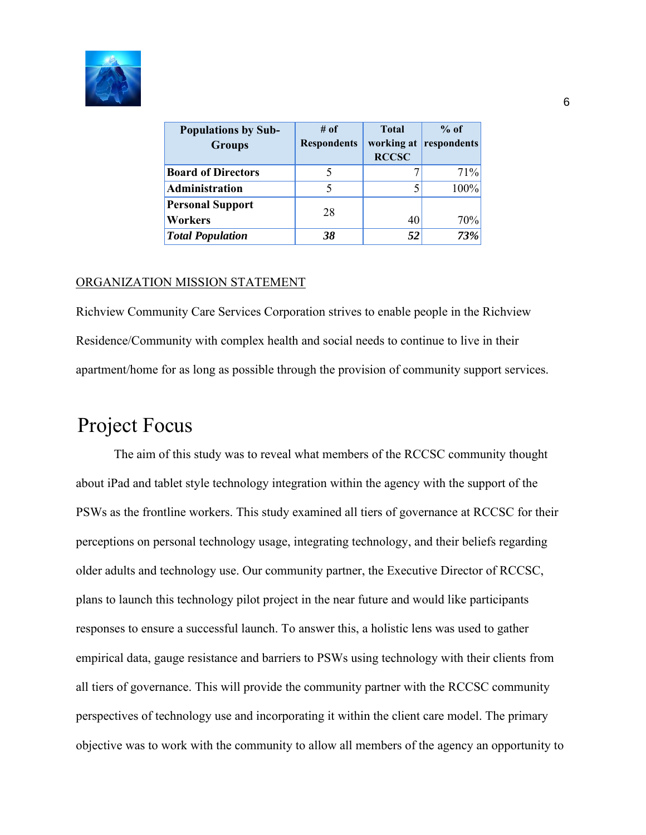

| <b>Populations by Sub-</b> | # of               | <b>Total</b>               | $%$ of      |
|----------------------------|--------------------|----------------------------|-------------|
| <b>Groups</b>              | <b>Respondents</b> | working at<br><b>RCCSC</b> | respondents |
|                            |                    |                            |             |
| <b>Board of Directors</b>  |                    |                            | 71%         |
| Administration             |                    |                            | 100%        |
| <b>Personal Support</b>    |                    |                            |             |
| Workers                    | 28                 | 40                         | 70%         |
| <b>Total Population</b>    | 38                 | 52                         | 73%         |

#### ORGANIZATION MISSION STATEMENT

Richview Community Care Services Corporation strives to enable people in the Richview Residence/Community with complex health and social needs to continue to live in their apartment/home for as long as possible through the provision of community support services.

### <span id="page-6-0"></span>Project Focus

The aim of this study was to reveal what members of the RCCSC community thought about iPad and tablet style technology integration within the agency with the support of the PSWs as the frontline workers. This study examined all tiers of governance at RCCSC for their perceptions on personal technology usage, integrating technology, and their beliefs regarding older adults and technology use. Our community partner, the Executive Director of RCCSC, plans to launch this technology pilot project in the near future and would like participants responses to ensure a successful launch. To answer this, a holistic lens was used to gather empirical data, gauge resistance and barriers to PSWs using technology with their clients from all tiers of governance. This will provide the community partner with the RCCSC community perspectives of technology use and incorporating it within the client care model. The primary objective was to work with the community to allow all members of the agency an opportunity to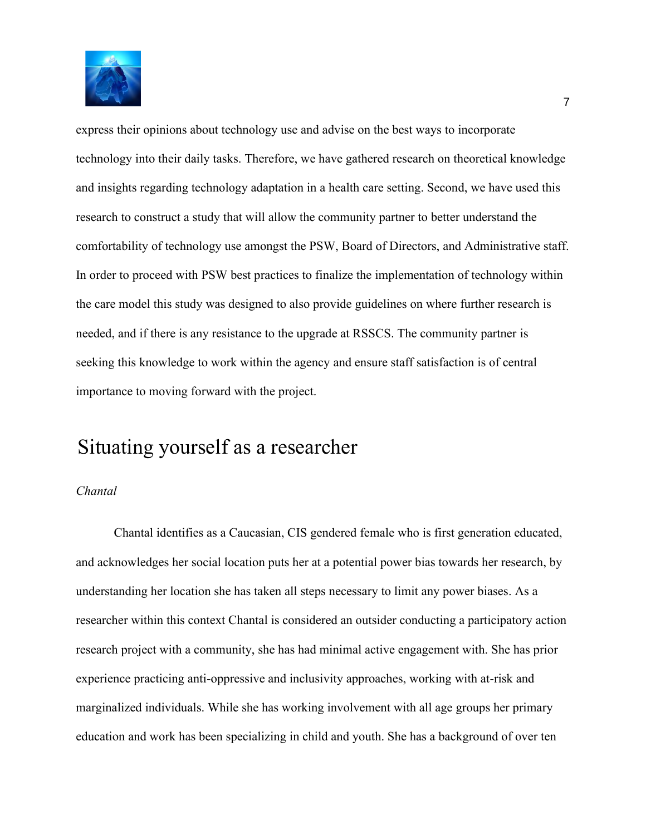

express their opinions about technology use and advise on the best ways to incorporate technology into their daily tasks. Therefore, we have gathered research on theoretical knowledge and insights regarding technology adaptation in a health care setting. Second, we have used this research to construct a study that will allow the community partner to better understand the comfortability of technology use amongst the PSW, Board of Directors, and Administrative staff. In order to proceed with PSW best practices to finalize the implementation of technology within the care model this study was designed to also provide guidelines on where further research is needed, and if there is any resistance to the upgrade at RSSCS. The community partner is seeking this knowledge to work within the agency and ensure staff satisfaction is of central importance to moving forward with the project.

# <span id="page-7-0"></span>Situating yourself as a researcher

### *Chantal*

Chantal identifies as a Caucasian, CIS gendered female who is first generation educated, and acknowledges her social location puts her at a potential power bias towards her research, by understanding her location she has taken all steps necessary to limit any power biases. As a researcher within this context Chantal is considered an outsider conducting a participatory action research project with a community, she has had minimal active engagement with. She has prior experience practicing anti-oppressive and inclusivity approaches, working with at-risk and marginalized individuals. While she has working involvement with all age groups her primary education and work has been specializing in child and youth. She has a background of over ten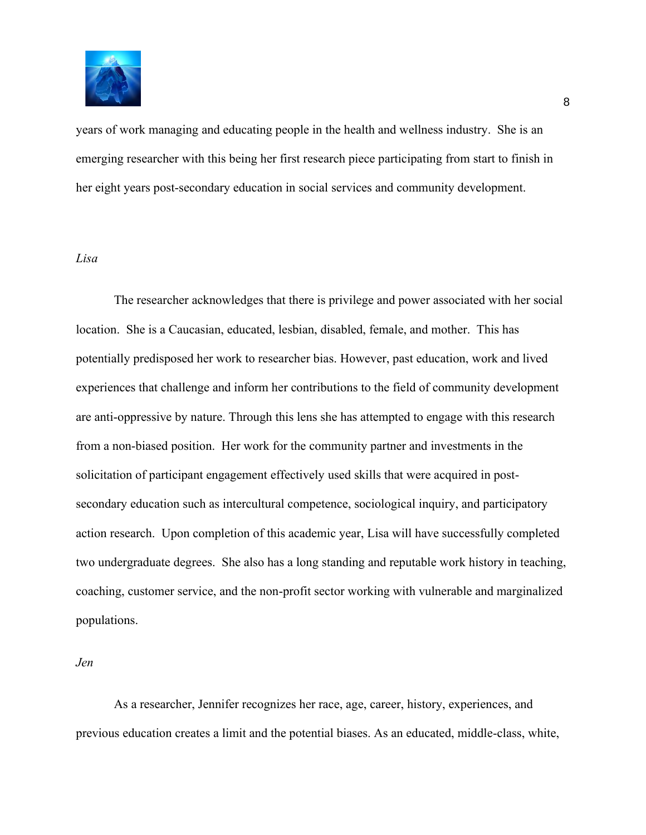

years of work managing and educating people in the health and wellness industry. She is an emerging researcher with this being her first research piece participating from start to finish in her eight years post-secondary education in social services and community development.

#### *Lisa*

The researcher acknowledges that there is privilege and power associated with her social location. She is a Caucasian, educated, lesbian, disabled, female, and mother. This has potentially predisposed her work to researcher bias. However, past education, work and lived experiences that challenge and inform her contributions to the field of community development are anti-oppressive by nature. Through this lens she has attempted to engage with this research from a non-biased position. Her work for the community partner and investments in the solicitation of participant engagement effectively used skills that were acquired in postsecondary education such as intercultural competence, sociological inquiry, and participatory action research. Upon completion of this academic year, Lisa will have successfully completed two undergraduate degrees. She also has a long standing and reputable work history in teaching, coaching, customer service, and the non-profit sector working with vulnerable and marginalized populations.

#### *Jen*

As a researcher, Jennifer recognizes her race, age, career, history, experiences, and previous education creates a limit and the potential biases. As an educated, middle-class, white,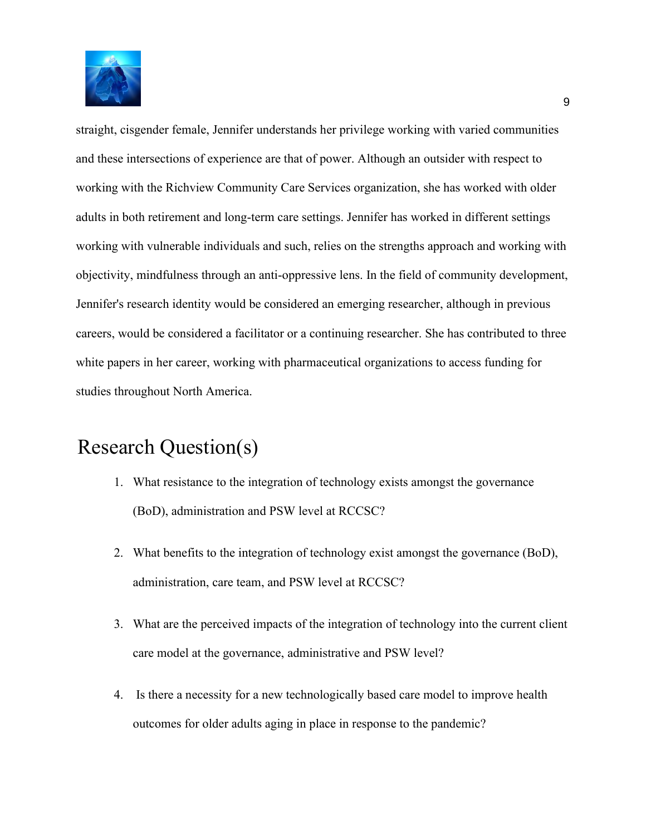

straight, cisgender female, Jennifer understands her privilege working with varied communities and these intersections of experience are that of power. Although an outsider with respect to working with the Richview Community Care Services organization, she has worked with older adults in both retirement and long-term care settings. Jennifer has worked in different settings working with vulnerable individuals and such, relies on the strengths approach and working with objectivity, mindfulness through an anti-oppressive lens. In the field of community development, Jennifer's research identity would be considered an emerging researcher, although in previous careers, would be considered a facilitator or a continuing researcher. She has contributed to three white papers in her career, working with pharmaceutical organizations to access funding for studies throughout North America.

# <span id="page-9-0"></span>Research Question(s)

- 1. What resistance to the integration of technology exists amongst the governance (BoD), administration and PSW level at RCCSC?
- 2. What benefits to the integration of technology exist amongst the governance (BoD), administration, care team, and PSW level at RCCSC?
- 3. What are the perceived impacts of the integration of technology into the current client care model at the governance, administrative and PSW level?
- 4. Is there a necessity for a new technologically based care model to improve health outcomes for older adults aging in place in response to the pandemic?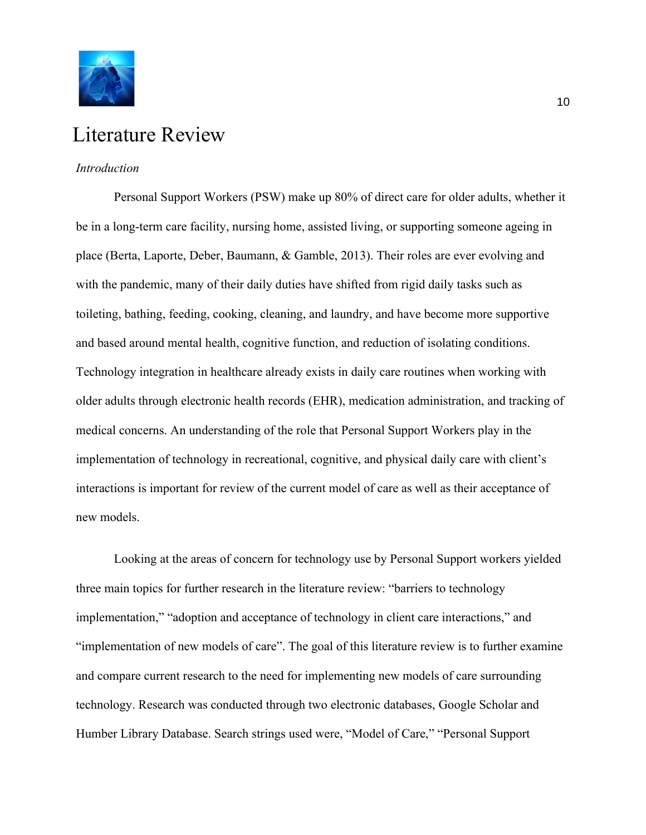

# <span id="page-10-0"></span>Literature Review

#### *Introduction*

Personal Support Workers (PSW) make up 80% of direct care for older adults, whether it be in a long-term care facility, nursing home, assisted living, or supporting someone ageing in place (Berta, Laporte, Deber, Baumann, & Gamble, 2013). Their roles are ever evolving and with the pandemic, many of their daily duties have shifted from rigid daily tasks such as toileting, bathing, feeding, cooking, cleaning, and laundry, and have become more supportive and based around mental health, cognitive function, and reduction of isolating conditions. Technology integration in healthcare already exists in daily care routines when working with older adults through electronic health records (EHR), medication administration, and tracking of medical concerns. An understanding of the role that Personal Support Workers play in the implementation of technology in recreational, cognitive, and physical daily care with client's interactions is important for review of the current model of care as well as their acceptance of new models.

Looking at the areas of concern for technology use by Personal Support workers yielded three main topics for further research in the literature review: "barriers to technology implementation," "adoption and acceptance of technology in client care interactions," and "implementation of new models of care". The goal of this literature review is to further examine and compare current research to the need for implementing new models of care surrounding technology. Research was conducted through two electronic databases, Google Scholar and Humber Library Database. Search strings used were, "Model of Care," "Personal Support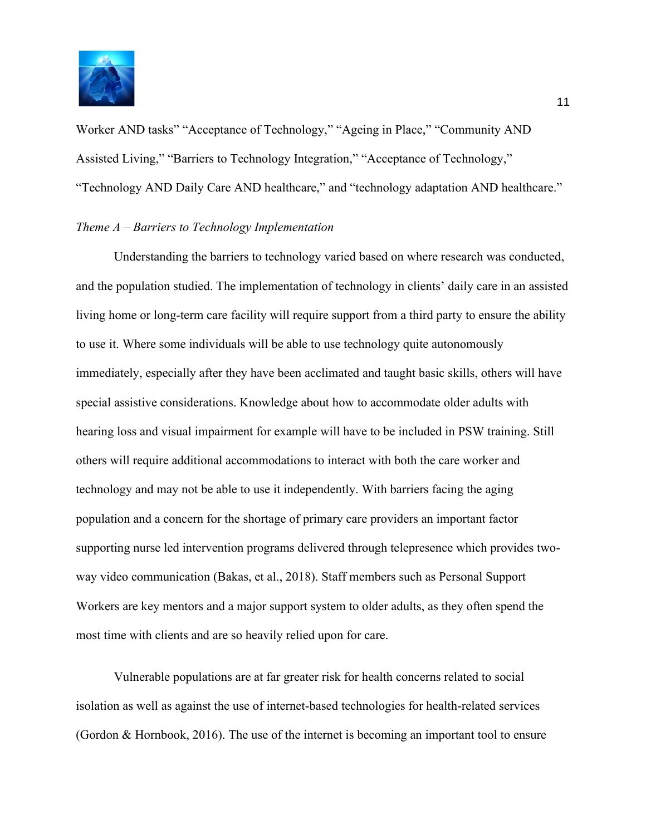

Worker AND tasks" "Acceptance of Technology," "Ageing in Place," "Community AND Assisted Living," "Barriers to Technology Integration," "Acceptance of Technology," "Technology AND Daily Care AND healthcare," and "technology adaptation AND healthcare."

#### *Theme A – Barriers to Technology Implementation*

Understanding the barriers to technology varied based on where research was conducted, and the population studied. The implementation of technology in clients' daily care in an assisted living home or long-term care facility will require support from a third party to ensure the ability to use it. Where some individuals will be able to use technology quite autonomously immediately, especially after they have been acclimated and taught basic skills, others will have special assistive considerations. Knowledge about how to accommodate older adults with hearing loss and visual impairment for example will have to be included in PSW training. Still others will require additional accommodations to interact with both the care worker and technology and may not be able to use it independently. With barriers facing the aging population and a concern for the shortage of primary care providers an important factor supporting nurse led intervention programs delivered through telepresence which provides twoway video communication (Bakas, et al., 2018). Staff members such as Personal Support Workers are key mentors and a major support system to older adults, as they often spend the most time with clients and are so heavily relied upon for care.

Vulnerable populations are at far greater risk for health concerns related to social isolation as well as against the use of internet-based technologies for health-related services (Gordon & Hornbook, 2016). The use of the internet is becoming an important tool to ensure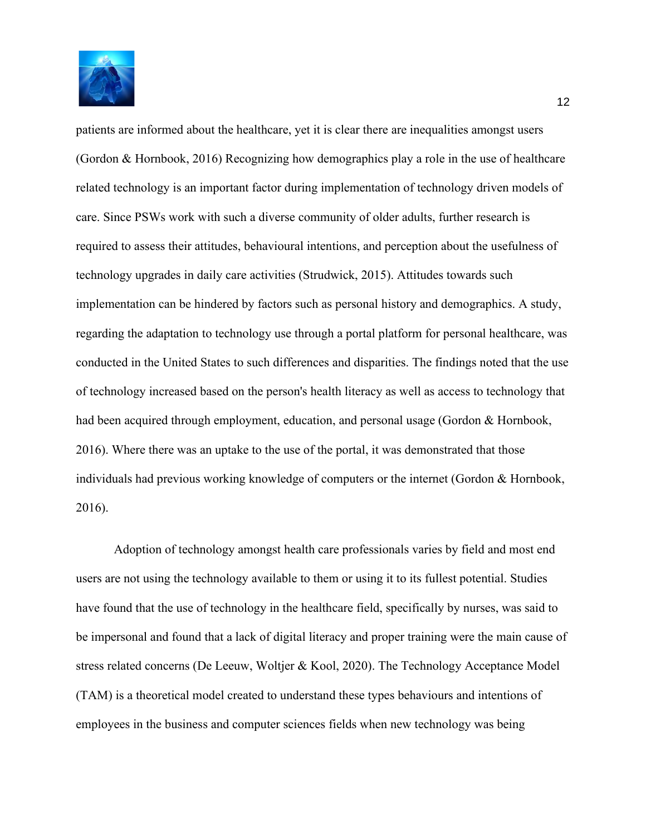

patients are informed about the healthcare, yet it is clear there are inequalities amongst users (Gordon & Hornbook, 2016) Recognizing how demographics play a role in the use of healthcare related technology is an important factor during implementation of technology driven models of care. Since PSWs work with such a diverse community of older adults, further research is required to assess their attitudes, behavioural intentions, and perception about the usefulness of technology upgrades in daily care activities (Strudwick, 2015). Attitudes towards such implementation can be hindered by factors such as personal history and demographics. A study, regarding the adaptation to technology use through a portal platform for personal healthcare, was conducted in the United States to such differences and disparities. The findings noted that the use of technology increased based on the person's health literacy as well as access to technology that had been acquired through employment, education, and personal usage (Gordon & Hornbook, 2016). Where there was an uptake to the use of the portal, it was demonstrated that those individuals had previous working knowledge of computers or the internet (Gordon & Hornbook, 2016).

Adoption of technology amongst health care professionals varies by field and most end users are not using the technology available to them or using it to its fullest potential. Studies have found that the use of technology in the healthcare field, specifically by nurses, was said to be impersonal and found that a lack of digital literacy and proper training were the main cause of stress related concerns (De Leeuw, Woltjer & Kool, 2020). The Technology Acceptance Model (TAM) is a theoretical model created to understand these types behaviours and intentions of employees in the business and computer sciences fields when new technology was being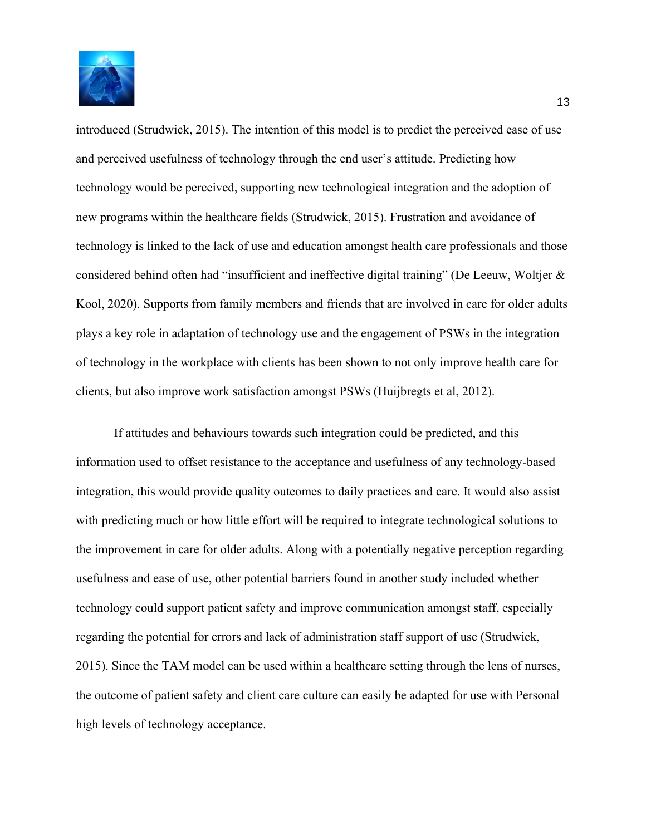

introduced (Strudwick, 2015). The intention of this model is to predict the perceived ease of use and perceived usefulness of technology through the end user's attitude. Predicting how technology would be perceived, supporting new technological integration and the adoption of new programs within the healthcare fields (Strudwick, 2015). Frustration and avoidance of technology is linked to the lack of use and education amongst health care professionals and those considered behind often had "insufficient and ineffective digital training" (De Leeuw, Woltjer & Kool, 2020). Supports from family members and friends that are involved in care for older adults plays a key role in adaptation of technology use and the engagement of PSWs in the integration of technology in the workplace with clients has been shown to not only improve health care for clients, but also improve work satisfaction amongst PSWs (Huijbregts et al, 2012).

If attitudes and behaviours towards such integration could be predicted, and this information used to offset resistance to the acceptance and usefulness of any technology-based integration, this would provide quality outcomes to daily practices and care. It would also assist with predicting much or how little effort will be required to integrate technological solutions to the improvement in care for older adults. Along with a potentially negative perception regarding usefulness and ease of use, other potential barriers found in another study included whether technology could support patient safety and improve communication amongst staff, especially regarding the potential for errors and lack of administration staff support of use (Strudwick, 2015). Since the TAM model can be used within a healthcare setting through the lens of nurses, the outcome of patient safety and client care culture can easily be adapted for use with Personal high levels of technology acceptance.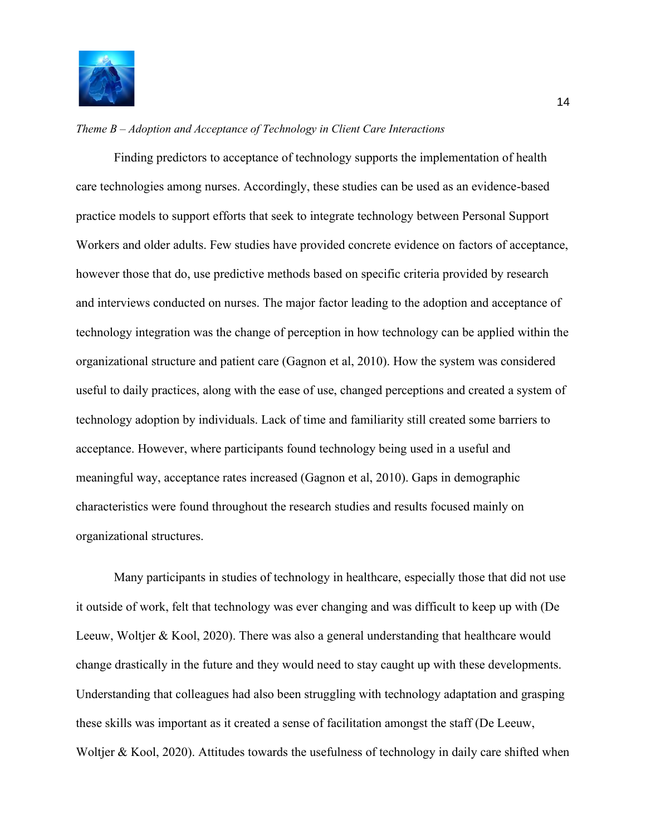

#### *Theme B – Adoption and Acceptance of Technology in Client Care Interactions*

Finding predictors to acceptance of technology supports the implementation of health care technologies among nurses. Accordingly, these studies can be used as an evidence-based practice models to support efforts that seek to integrate technology between Personal Support Workers and older adults. Few studies have provided concrete evidence on factors of acceptance, however those that do, use predictive methods based on specific criteria provided by research and interviews conducted on nurses. The major factor leading to the adoption and acceptance of technology integration was the change of perception in how technology can be applied within the organizational structure and patient care (Gagnon et al, 2010). How the system was considered useful to daily practices, along with the ease of use, changed perceptions and created a system of technology adoption by individuals. Lack of time and familiarity still created some barriers to acceptance. However, where participants found technology being used in a useful and meaningful way, acceptance rates increased (Gagnon et al, 2010). Gaps in demographic characteristics were found throughout the research studies and results focused mainly on organizational structures.

Many participants in studies of technology in healthcare, especially those that did not use it outside of work, felt that technology was ever changing and was difficult to keep up with (De Leeuw, Woltjer & Kool, 2020). There was also a general understanding that healthcare would change drastically in the future and they would need to stay caught up with these developments. Understanding that colleagues had also been struggling with technology adaptation and grasping these skills was important as it created a sense of facilitation amongst the staff (De Leeuw, Woltjer & Kool, 2020). Attitudes towards the usefulness of technology in daily care shifted when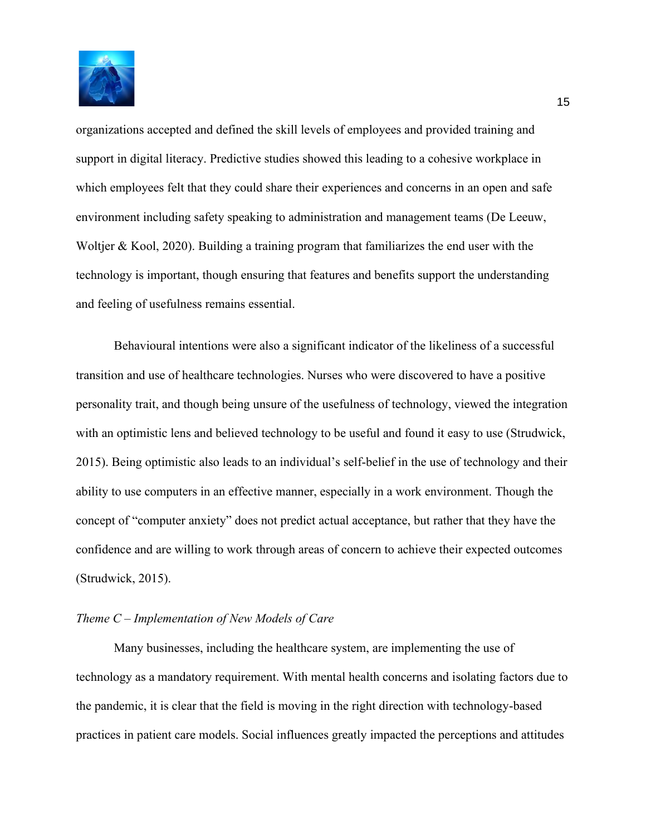

organizations accepted and defined the skill levels of employees and provided training and support in digital literacy. Predictive studies showed this leading to a cohesive workplace in which employees felt that they could share their experiences and concerns in an open and safe environment including safety speaking to administration and management teams (De Leeuw, Woltjer & Kool, 2020). Building a training program that familiarizes the end user with the technology is important, though ensuring that features and benefits support the understanding and feeling of usefulness remains essential.

Behavioural intentions were also a significant indicator of the likeliness of a successful transition and use of healthcare technologies. Nurses who were discovered to have a positive personality trait, and though being unsure of the usefulness of technology, viewed the integration with an optimistic lens and believed technology to be useful and found it easy to use (Strudwick, 2015). Being optimistic also leads to an individual's self-belief in the use of technology and their ability to use computers in an effective manner, especially in a work environment. Though the concept of "computer anxiety" does not predict actual acceptance, but rather that they have the confidence and are willing to work through areas of concern to achieve their expected outcomes (Strudwick, 2015).

#### *Theme C – Implementation of New Models of Care*

 Many businesses, including the healthcare system, are implementing the use of technology as a mandatory requirement. With mental health concerns and isolating factors due to the pandemic, it is clear that the field is moving in the right direction with technology-based practices in patient care models. Social influences greatly impacted the perceptions and attitudes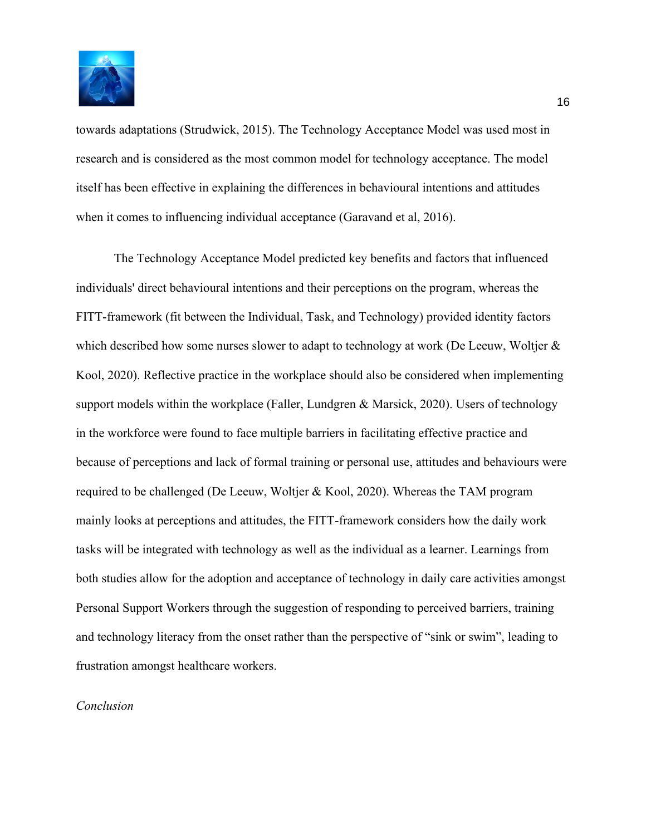

towards adaptations (Strudwick, 2015). The Technology Acceptance Model was used most in research and is considered as the most common model for technology acceptance. The model itself has been effective in explaining the differences in behavioural intentions and attitudes when it comes to influencing individual acceptance (Garavand et al, 2016).

 The Technology Acceptance Model predicted key benefits and factors that influenced individuals' direct behavioural intentions and their perceptions on the program, whereas the FITT-framework (fit between the Individual, Task, and Technology) provided identity factors which described how some nurses slower to adapt to technology at work (De Leeuw, Woltjer & Kool, 2020). Reflective practice in the workplace should also be considered when implementing support models within the workplace (Faller, Lundgren & Marsick, 2020). Users of technology in the workforce were found to face multiple barriers in facilitating effective practice and because of perceptions and lack of formal training or personal use, attitudes and behaviours were required to be challenged (De Leeuw, Woltjer & Kool, 2020). Whereas the TAM program mainly looks at perceptions and attitudes, the FITT-framework considers how the daily work tasks will be integrated with technology as well as the individual as a learner. Learnings from both studies allow for the adoption and acceptance of technology in daily care activities amongst Personal Support Workers through the suggestion of responding to perceived barriers, training and technology literacy from the onset rather than the perspective of "sink or swim", leading to frustration amongst healthcare workers.

#### *Conclusion*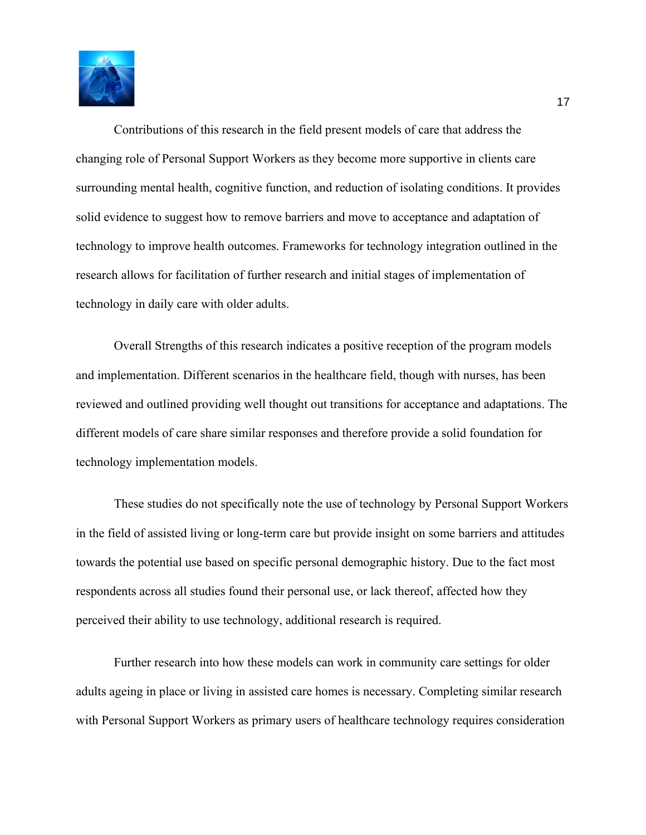

 Contributions of this research in the field present models of care that address the changing role of Personal Support Workers as they become more supportive in clients care surrounding mental health, cognitive function, and reduction of isolating conditions. It provides solid evidence to suggest how to remove barriers and move to acceptance and adaptation of technology to improve health outcomes. Frameworks for technology integration outlined in the research allows for facilitation of further research and initial stages of implementation of technology in daily care with older adults.

 Overall Strengths of this research indicates a positive reception of the program models and implementation. Different scenarios in the healthcare field, though with nurses, has been reviewed and outlined providing well thought out transitions for acceptance and adaptations. The different models of care share similar responses and therefore provide a solid foundation for technology implementation models.

These studies do not specifically note the use of technology by Personal Support Workers in the field of assisted living or long-term care but provide insight on some barriers and attitudes towards the potential use based on specific personal demographic history. Due to the fact most respondents across all studies found their personal use, or lack thereof, affected how they perceived their ability to use technology, additional research is required.

 Further research into how these models can work in community care settings for older adults ageing in place or living in assisted care homes is necessary. Completing similar research with Personal Support Workers as primary users of healthcare technology requires consideration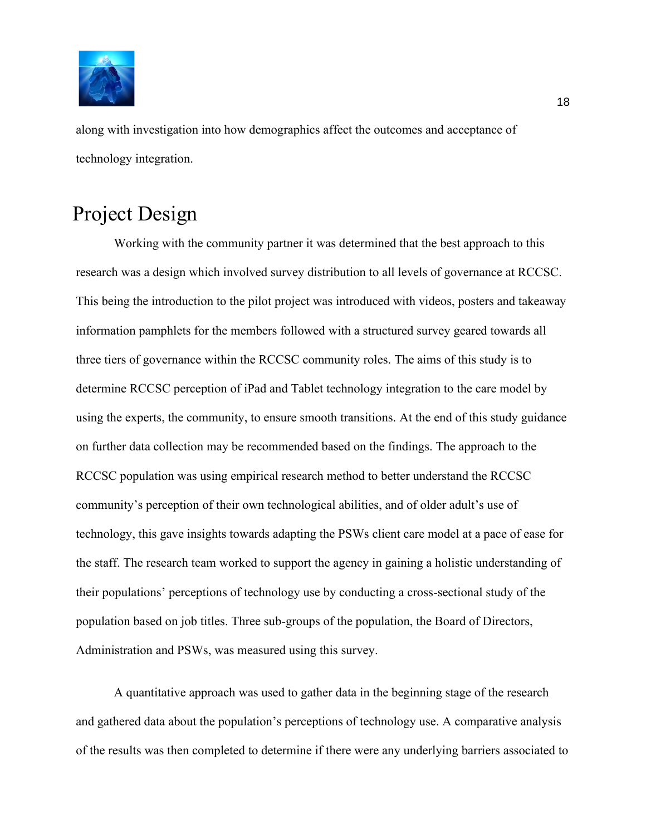

along with investigation into how demographics affect the outcomes and acceptance of technology integration.

# <span id="page-18-0"></span>Project Design

Working with the community partner it was determined that the best approach to this research was a design which involved survey distribution to all levels of governance at RCCSC. This being the introduction to the pilot project was introduced with videos, posters and takeaway information pamphlets for the members followed with a structured survey geared towards all three tiers of governance within the RCCSC community roles. The aims of this study is to determine RCCSC perception of iPad and Tablet technology integration to the care model by using the experts, the community, to ensure smooth transitions. At the end of this study guidance on further data collection may be recommended based on the findings. The approach to the RCCSC population was using empirical research method to better understand the RCCSC community's perception of their own technological abilities, and of older adult's use of technology, this gave insights towards adapting the PSWs client care model at a pace of ease for the staff. The research team worked to support the agency in gaining a holistic understanding of their populations' perceptions of technology use by conducting a cross-sectional study of the population based on job titles. Three sub-groups of the population, the Board of Directors, Administration and PSWs, was measured using this survey.

A quantitative approach was used to gather data in the beginning stage of the research and gathered data about the population's perceptions of technology use. A comparative analysis of the results was then completed to determine if there were any underlying barriers associated to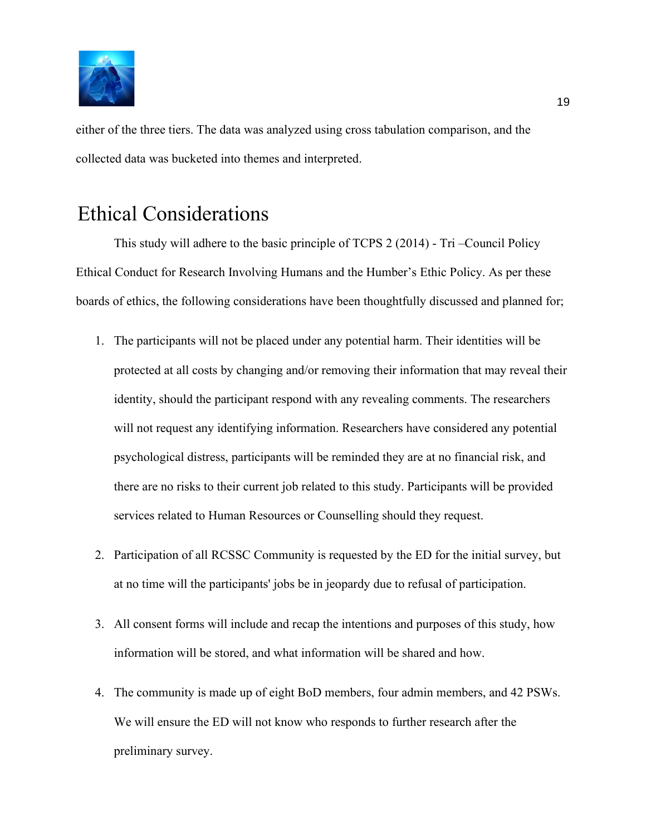

either of the three tiers. The data was analyzed using cross tabulation comparison, and the collected data was bucketed into themes and interpreted.

## <span id="page-19-0"></span>Ethical Considerations

This study will adhere to the basic principle of TCPS 2 (2014) - Tri –Council Policy Ethical Conduct for Research Involving Humans and the Humber's Ethic Policy. As per these boards of ethics, the following considerations have been thoughtfully discussed and planned for;

- 1. The participants will not be placed under any potential harm. Their identities will be protected at all costs by changing and/or removing their information that may reveal their identity, should the participant respond with any revealing comments. The researchers will not request any identifying information. Researchers have considered any potential psychological distress, participants will be reminded they are at no financial risk, and there are no risks to their current job related to this study. Participants will be provided services related to Human Resources or Counselling should they request.
- 2. Participation of all RCSSC Community is requested by the ED for the initial survey, but at no time will the participants' jobs be in jeopardy due to refusal of participation.
- 3. All consent forms will include and recap the intentions and purposes of this study, how information will be stored, and what information will be shared and how.
- 4. The community is made up of eight BoD members, four admin members, and 42 PSWs. We will ensure the ED will not know who responds to further research after the preliminary survey.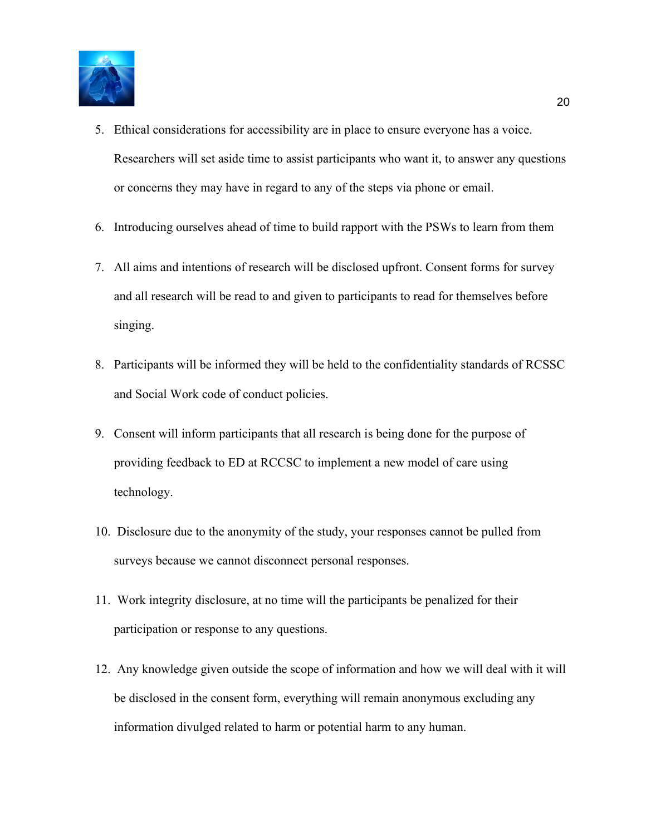

- 5. Ethical considerations for accessibility are in place to ensure everyone has a voice. Researchers will set aside time to assist participants who want it, to answer any questions or concerns they may have in regard to any of the steps via phone or email.
- 6. Introducing ourselves ahead of time to build rapport with the PSWs to learn from them
- 7. All aims and intentions of research will be disclosed upfront. Consent forms for survey and all research will be read to and given to participants to read for themselves before singing.
- 8. Participants will be informed they will be held to the confidentiality standards of RCSSC and Social Work code of conduct policies.
- 9. Consent will inform participants that all research is being done for the purpose of providing feedback to ED at RCCSC to implement a new model of care using technology.
- 10. Disclosure due to the anonymity of the study, your responses cannot be pulled from surveys because we cannot disconnect personal responses.
- 11. Work integrity disclosure, at no time will the participants be penalized for their participation or response to any questions.
- 12. Any knowledge given outside the scope of information and how we will deal with it will be disclosed in the consent form, everything will remain anonymous excluding any information divulged related to harm or potential harm to any human.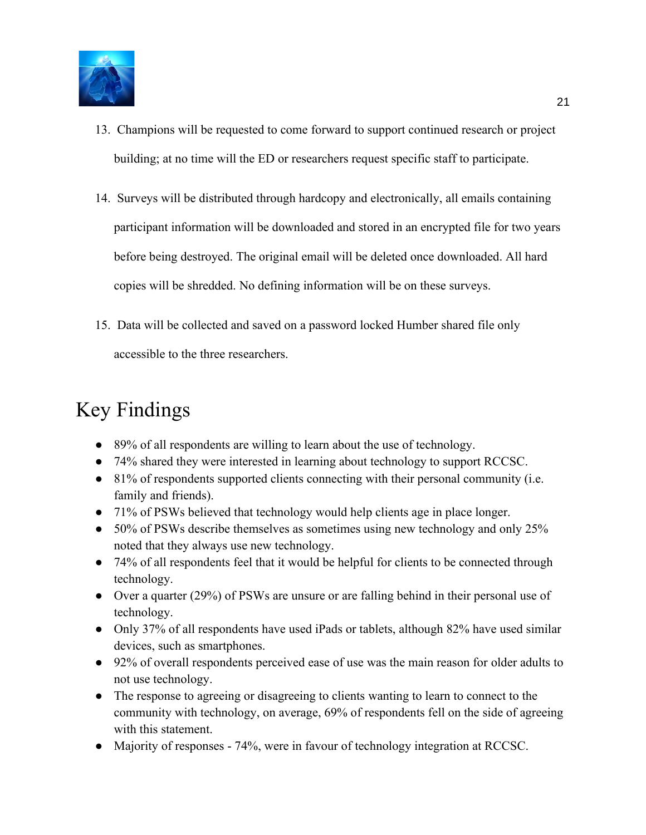

- 13. Champions will be requested to come forward to support continued research or project building; at no time will the ED or researchers request specific staff to participate.
- 14. Surveys will be distributed through hardcopy and electronically, all emails containing participant information will be downloaded and stored in an encrypted file for two years before being destroyed. The original email will be deleted once downloaded. All hard copies will be shredded. No defining information will be on these surveys.
- 15. Data will be collected and saved on a password locked Humber shared file only accessible to the three researchers.

# <span id="page-21-0"></span>Key Findings

- 89% of all respondents are willing to learn about the use of technology.
- 74% shared they were interested in learning about technology to support RCCSC.
- $\bullet$  81% of respondents supported clients connecting with their personal community (i.e. family and friends).
- 71% of PSWs believed that technology would help clients age in place longer.
- 50% of PSWs describe themselves as sometimes using new technology and only 25% noted that they always use new technology.
- 74% of all respondents feel that it would be helpful for clients to be connected through technology.
- Over a quarter (29%) of PSWs are unsure or are falling behind in their personal use of technology.
- Only 37% of all respondents have used iPads or tablets, although 82% have used similar devices, such as smartphones.
- 92% of overall respondents perceived ease of use was the main reason for older adults to not use technology.
- The response to agreeing or disagreeing to clients wanting to learn to connect to the community with technology, on average, 69% of respondents fell on the side of agreeing with this statement.
- Majority of responses 74%, were in favour of technology integration at RCCSC.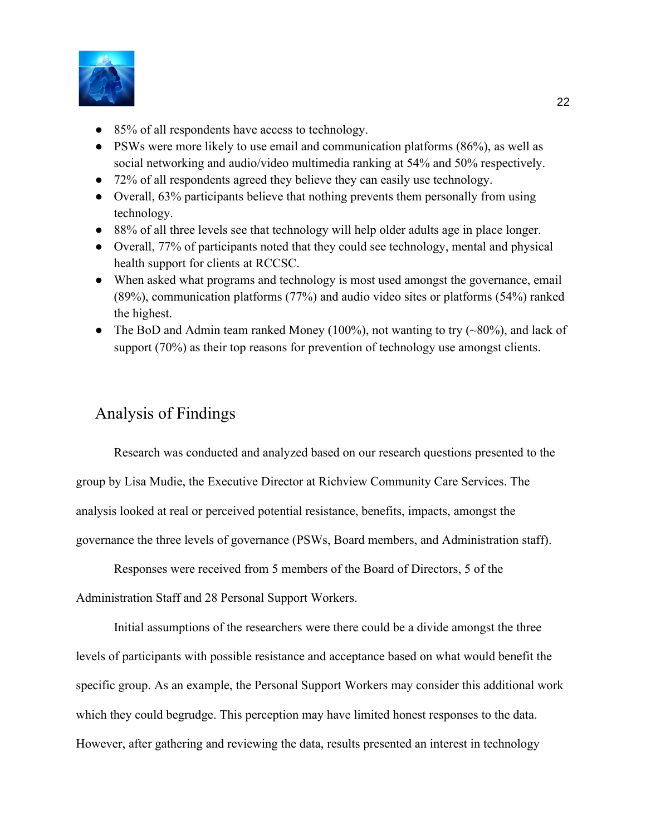

- 85% of all respondents have access to technology.
- PSWs were more likely to use email and communication platforms (86%), as well as social networking and audio/video multimedia ranking at 54% and 50% respectively.
- 72% of all respondents agreed they believe they can easily use technology.
- Overall, 63% participants believe that nothing prevents them personally from using technology.
- 88% of all three levels see that technology will help older adults age in place longer.
- Overall, 77% of participants noted that they could see technology, mental and physical health support for clients at RCCSC.
- When asked what programs and technology is most used amongst the governance, email (89%), communication platforms (77%) and audio video sites or platforms (54%) ranked the highest.
- The BoD and Admin team ranked Money  $(100\%)$ , not wanting to try  $(\sim 80\%)$ , and lack of support (70%) as their top reasons for prevention of technology use amongst clients.

### <span id="page-22-0"></span>Analysis of Findings

Research was conducted and analyzed based on our research questions presented to the group by Lisa Mudie, the Executive Director at Richview Community Care Services. The analysis looked at real or perceived potential resistance, benefits, impacts, amongst the governance the three levels of governance (PSWs, Board members, and Administration staff).

Responses were received from 5 members of the Board of Directors, 5 of the

Administration Staff and 28 Personal Support Workers.

Initial assumptions of the researchers were there could be a divide amongst the three levels of participants with possible resistance and acceptance based on what would benefit the specific group. As an example, the Personal Support Workers may consider this additional work which they could begrudge. This perception may have limited honest responses to the data. However, after gathering and reviewing the data, results presented an interest in technology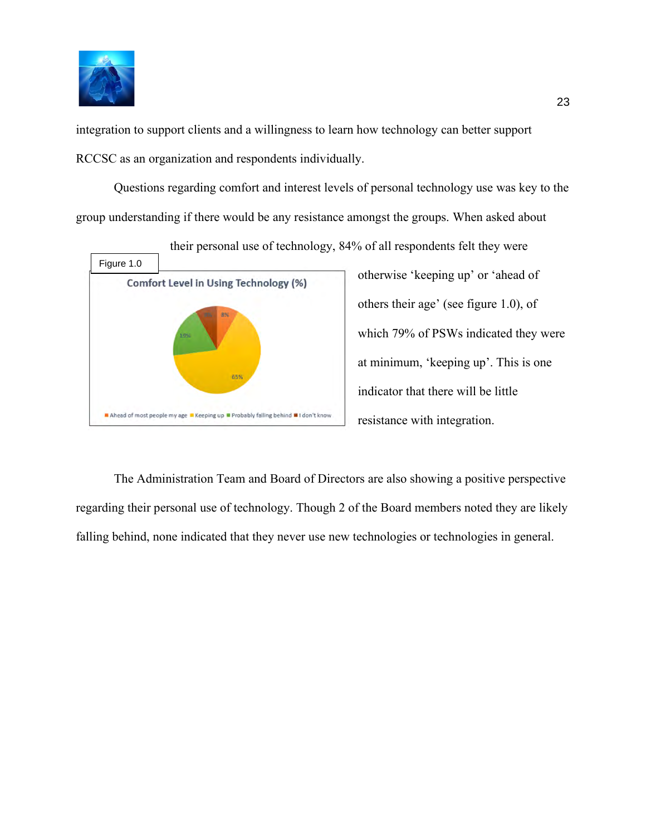

integration to support clients and a willingness to learn how technology can better support RCCSC as an organization and respondents individually.

Questions regarding comfort and interest levels of personal technology use was key to the group understanding if there would be any resistance amongst the groups. When asked about



otherwise 'keeping up' or 'ahead of others their age' (see figure 1.0), of which 79% of PSWs indicated they were at minimum, 'keeping up'. This is one indicator that there will be little resistance with integration.

The Administration Team and Board of Directors are also showing a positive perspective regarding their personal use of technology. Though 2 of the Board members noted they are likely falling behind, none indicated that they never use new technologies or technologies in general.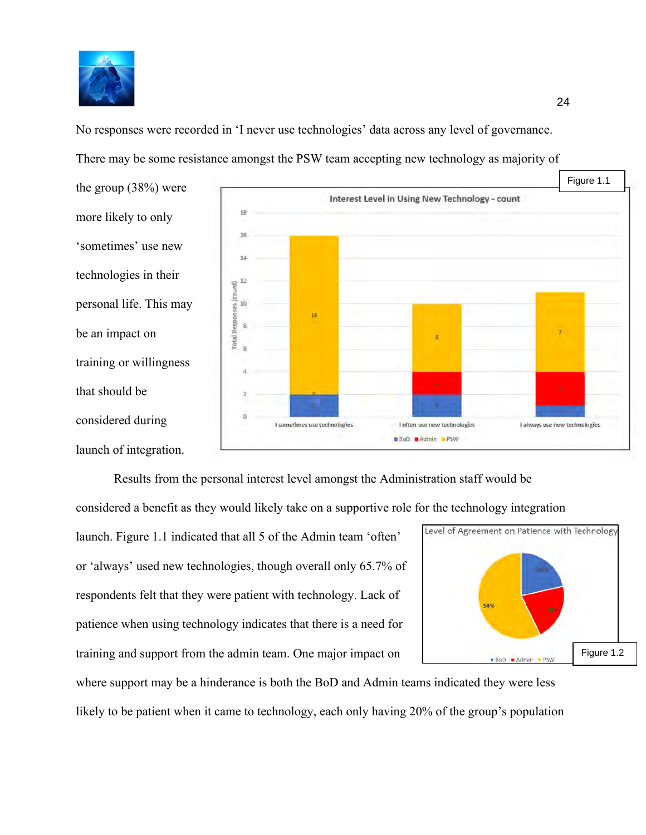

the group (38%) were

more likely to only

'sometimes' use new

technologies in their

be an impact on

that should be

considered during

launch of integration.

training or willingness

Figure 1.1 Interest Level in Using New Technology - count 1B 16 14  $12$ ¥ TOP personal life. This may 10 nses ū **Total Resp** I sometimes use technologies I often use new technologies I always use new technologies BoD Admin PSW

No responses were recorded in 'I never use technologies' data across any level of governance.

There may be some resistance amongst the PSW team accepting new technology as majority of

Results from the personal interest level amongst the Administration staff would be

considered a benefit as they would likely take on a supportive role for the technology integration

launch. Figure 1.1 indicated that all 5 of the Admin team 'often' or 'always' used new technologies, though overall only 65.7% of respondents felt that they were patient with technology. Lack of patience when using technology indicates that there is a need for training and support from the admin team. One major impact on



where support may be a hinderance is both the BoD and Admin teams indicated they were less likely to be patient when it came to technology, each only having 20% of the group's population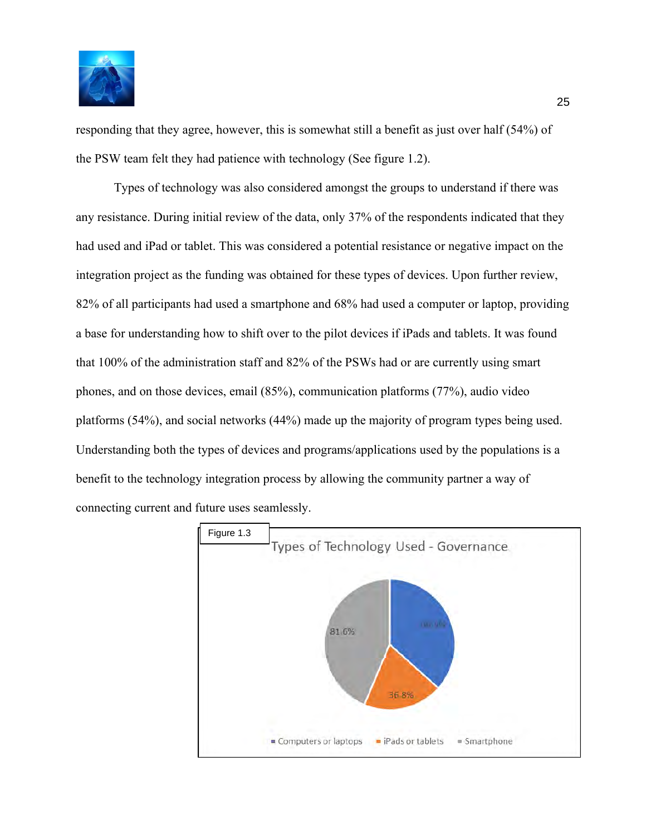

responding that they agree, however, this is somewhat still a benefit as just over half (54%) of the PSW team felt they had patience with technology (See figure 1.2).

Types of technology was also considered amongst the groups to understand if there was any resistance. During initial review of the data, only 37% of the respondents indicated that they had used and iPad or tablet. This was considered a potential resistance or negative impact on the integration project as the funding was obtained for these types of devices. Upon further review, 82% of all participants had used a smartphone and 68% had used a computer or laptop, providing a base for understanding how to shift over to the pilot devices if iPads and tablets. It was found that 100% of the administration staff and 82% of the PSWs had or are currently using smart phones, and on those devices, email (85%), communication platforms (77%), audio video platforms (54%), and social networks (44%) made up the majority of program types being used. Understanding both the types of devices and programs/applications used by the populations is a benefit to the technology integration process by allowing the community partner a way of connecting current and future uses seamlessly.

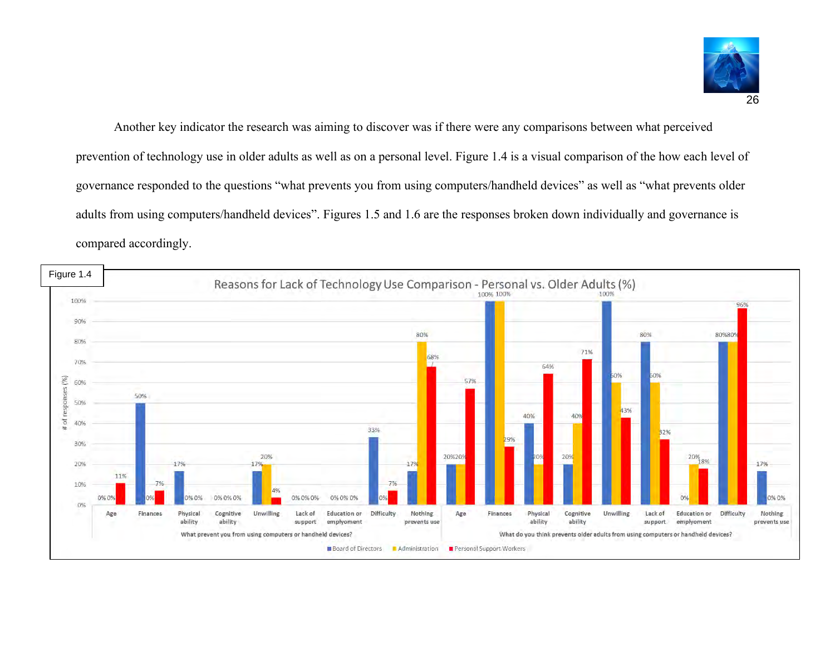

Another key indicator the research was aiming to discover was if there were any comparisons between what perceived prevention of technology use in older adults as well as on a personal level. Figure 1.4 is a visual comparison of the how each level of governance responded to the questions "what prevents you from using computers/handheld devices" as well as "what prevents older adults from using computers/handheld devices". Figures 1.5 and 1.6 are the responses broken down individually and governance is compared accordingly.

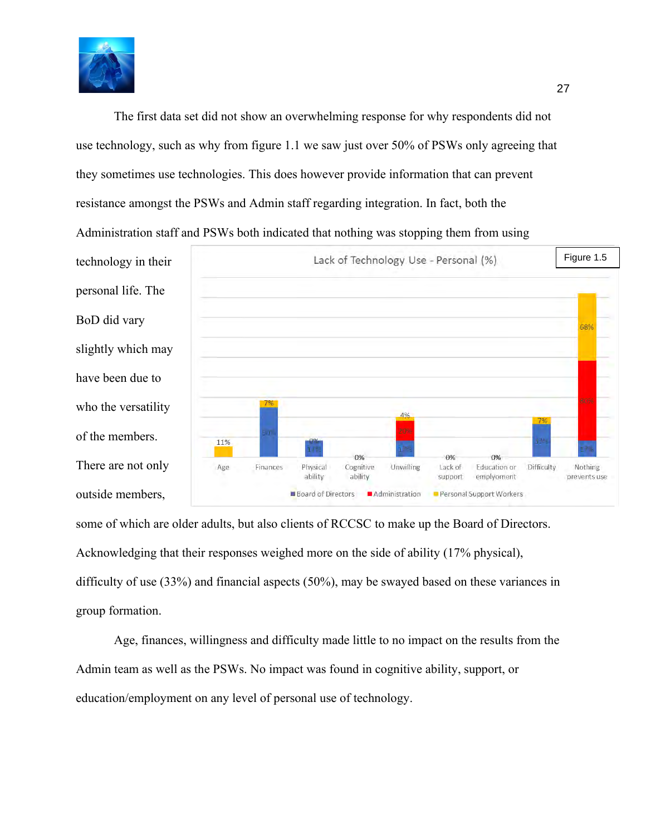

personal life. The

BoD did vary

have been due to

of the members.

There are not only

outside members,

The first data set did not show an overwhelming response for why respondents did not use technology, such as why from figure 1.1 we saw just over 50% of PSWs only agreeing that they sometimes use technologies. This does however provide information that can prevent resistance amongst the PSWs and Admin staff regarding integration. In fact, both the Administration staff and PSWs both indicated that nothing was stopping them from using



some of which are older adults, but also clients of RCCSC to make up the Board of Directors. Acknowledging that their responses weighed more on the side of ability (17% physical), difficulty of use (33%) and financial aspects (50%), may be swayed based on these variances in group formation.

Age, finances, willingness and difficulty made little to no impact on the results from the Admin team as well as the PSWs. No impact was found in cognitive ability, support, or education/employment on any level of personal use of technology.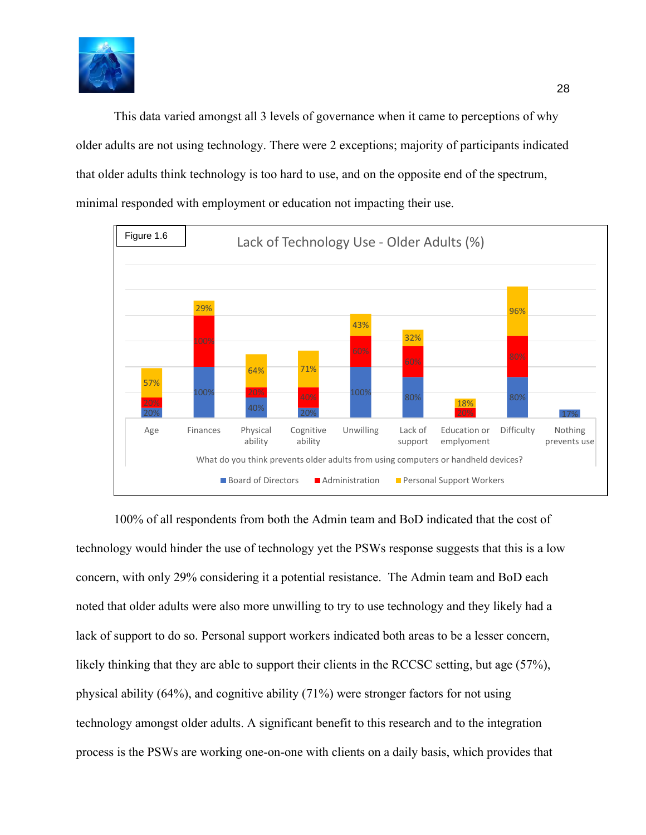

This data varied amongst all 3 levels of governance when it came to perceptions of why older adults are not using technology. There were 2 exceptions; majority of participants indicated that older adults think technology is too hard to use, and on the opposite end of the spectrum, minimal responded with employment or education not impacting their use.



100% of all respondents from both the Admin team and BoD indicated that the cost of technology would hinder the use of technology yet the PSWs response suggests that this is a low concern, with only 29% considering it a potential resistance. The Admin team and BoD each noted that older adults were also more unwilling to try to use technology and they likely had a lack of support to do so. Personal support workers indicated both areas to be a lesser concern, likely thinking that they are able to support their clients in the RCCSC setting, but age (57%), physical ability (64%), and cognitive ability (71%) were stronger factors for not using technology amongst older adults. A significant benefit to this research and to the integration process is the PSWs are working one-on-one with clients on a daily basis, which provides that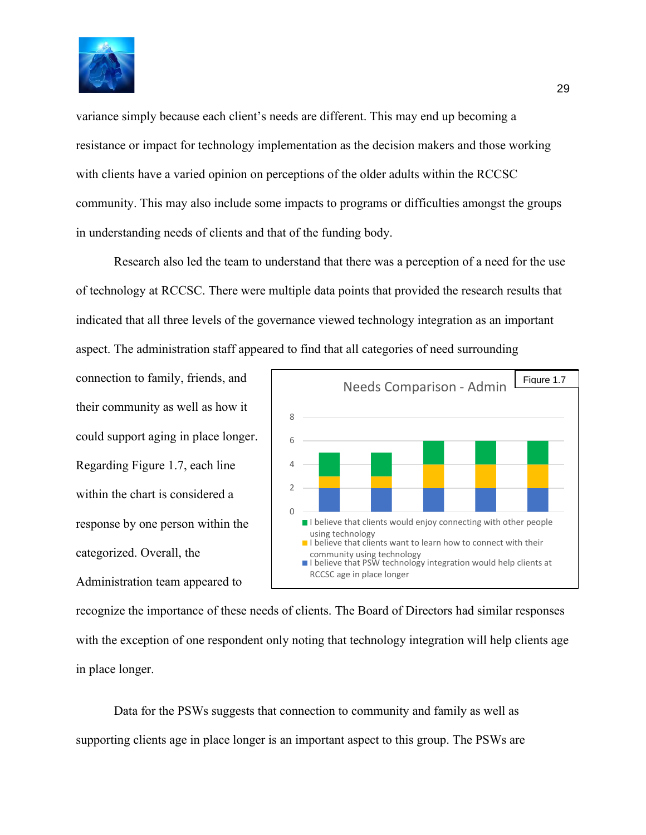

variance simply because each client's needs are different. This may end up becoming a resistance or impact for technology implementation as the decision makers and those working with clients have a varied opinion on perceptions of the older adults within the RCCSC community. This may also include some impacts to programs or difficulties amongst the groups in understanding needs of clients and that of the funding body.

Research also led the team to understand that there was a perception of a need for the use of technology at RCCSC. There were multiple data points that provided the research results that indicated that all three levels of the governance viewed technology integration as an important aspect. The administration staff appeared to find that all categories of need surrounding

connection to family, friends, and their community as well as how it could support aging in place longer. Regarding Figure 1.7, each line within the chart is considered a response by one person within the categorized. Overall, the Administration team appeared to



recognize the importance of these needs of clients. The Board of Directors had similar responses with the exception of one respondent only noting that technology integration will help clients age in place longer.

Data for the PSWs suggests that connection to community and family as well as supporting clients age in place longer is an important aspect to this group. The PSWs are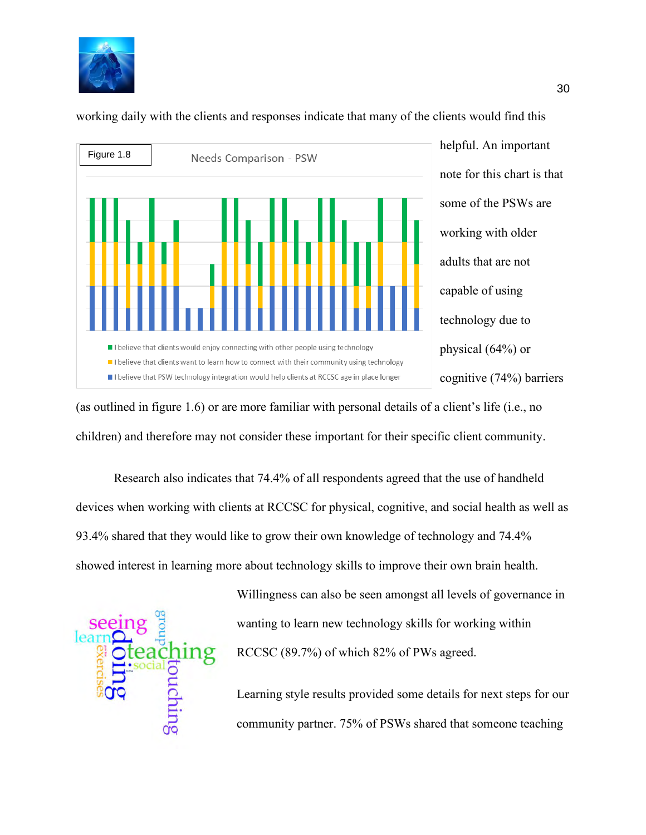

Figure 1.8Needs Comparison - PSW I believe that clients would enjoy connecting with other people using technology I believe that clients want to learn how to connect with their community using technology I believe that PSW technology integration would help clients at RCCSC age in place longer

working daily with the clients and responses indicate that many of the clients would find this

helpful. An important note for this chart is that some of the PSWs are working with older adults that are not capable of using technology due to physical (64%) or cognitive (74%) barriers

(as outlined in figure 1.6) or are more familiar with personal details of a client's life (i.e., no children) and therefore may not consider these important for their specific client community.

Research also indicates that 74.4% of all respondents agreed that the use of handheld devices when working with clients at RCCSC for physical, cognitive, and social health as well as 93.4% shared that they would like to grow their own knowledge of technology and 74.4% showed interest in learning more about technology skills to improve their own brain health.

hing

Willingness can also be seen amongst all levels of governance in wanting to learn new technology skills for working within RCCSC (89.7%) of which 82% of PWs agreed.

Learning style results provided some details for next steps for our community partner. 75% of PSWs shared that someone teaching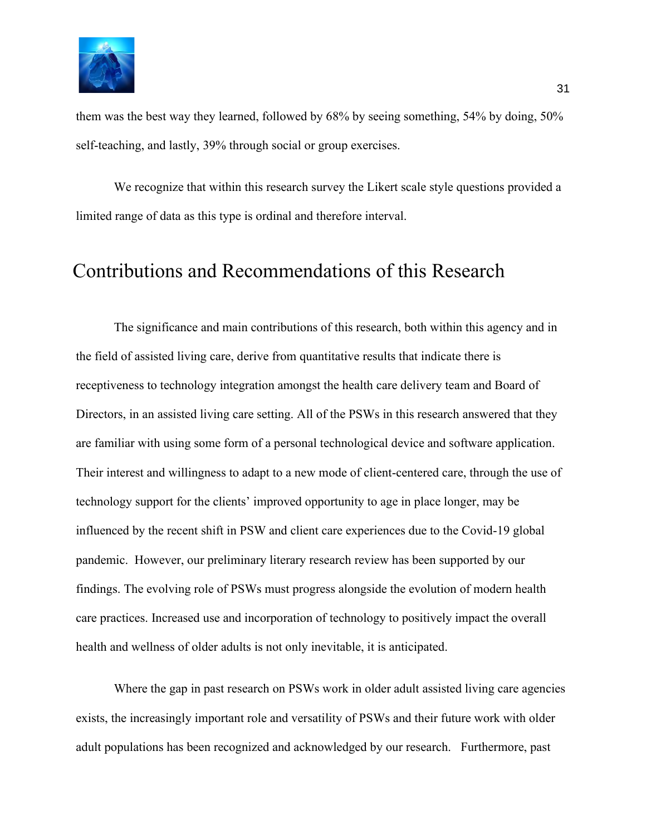

them was the best way they learned, followed by 68% by seeing something, 54% by doing, 50% self-teaching, and lastly, 39% through social or group exercises.

We recognize that within this research survey the Likert scale style questions provided a limited range of data as this type is ordinal and therefore interval.

### <span id="page-31-0"></span>Contributions and Recommendations of this Research

The significance and main contributions of this research, both within this agency and in the field of assisted living care, derive from quantitative results that indicate there is receptiveness to technology integration amongst the health care delivery team and Board of Directors, in an assisted living care setting. All of the PSWs in this research answered that they are familiar with using some form of a personal technological device and software application. Their interest and willingness to adapt to a new mode of client-centered care, through the use of technology support for the clients' improved opportunity to age in place longer, may be influenced by the recent shift in PSW and client care experiences due to the Covid-19 global pandemic. However, our preliminary literary research review has been supported by our findings. The evolving role of PSWs must progress alongside the evolution of modern health care practices. Increased use and incorporation of technology to positively impact the overall health and wellness of older adults is not only inevitable, it is anticipated.

Where the gap in past research on PSWs work in older adult assisted living care agencies exists, the increasingly important role and versatility of PSWs and their future work with older adult populations has been recognized and acknowledged by our research. Furthermore, past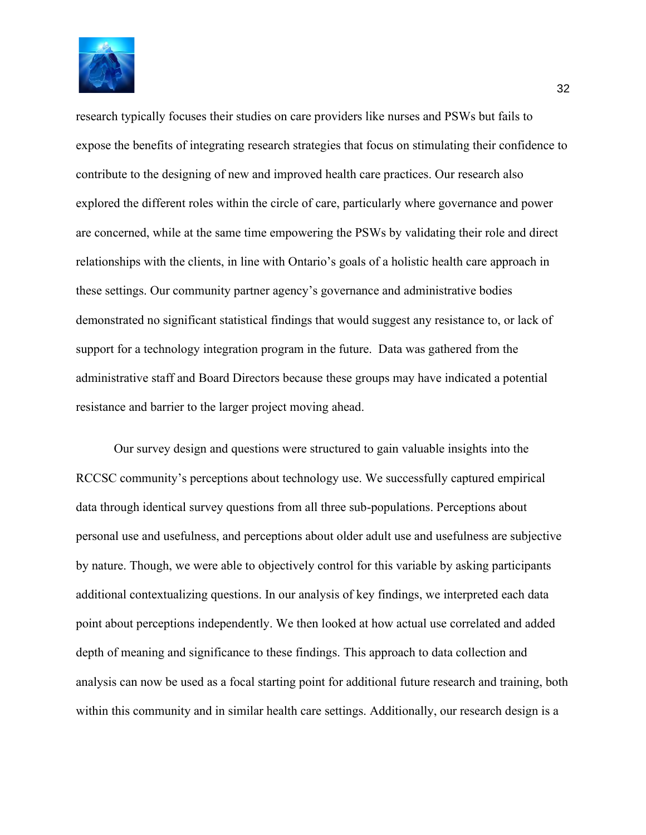

research typically focuses their studies on care providers like nurses and PSWs but fails to expose the benefits of integrating research strategies that focus on stimulating their confidence to contribute to the designing of new and improved health care practices. Our research also explored the different roles within the circle of care, particularly where governance and power are concerned, while at the same time empowering the PSWs by validating their role and direct relationships with the clients, in line with Ontario's goals of a holistic health care approach in these settings. Our community partner agency's governance and administrative bodies demonstrated no significant statistical findings that would suggest any resistance to, or lack of support for a technology integration program in the future. Data was gathered from the administrative staff and Board Directors because these groups may have indicated a potential resistance and barrier to the larger project moving ahead.

Our survey design and questions were structured to gain valuable insights into the RCCSC community's perceptions about technology use. We successfully captured empirical data through identical survey questions from all three sub-populations. Perceptions about personal use and usefulness, and perceptions about older adult use and usefulness are subjective by nature. Though, we were able to objectively control for this variable by asking participants additional contextualizing questions. In our analysis of key findings, we interpreted each data point about perceptions independently. We then looked at how actual use correlated and added depth of meaning and significance to these findings. This approach to data collection and analysis can now be used as a focal starting point for additional future research and training, both within this community and in similar health care settings. Additionally, our research design is a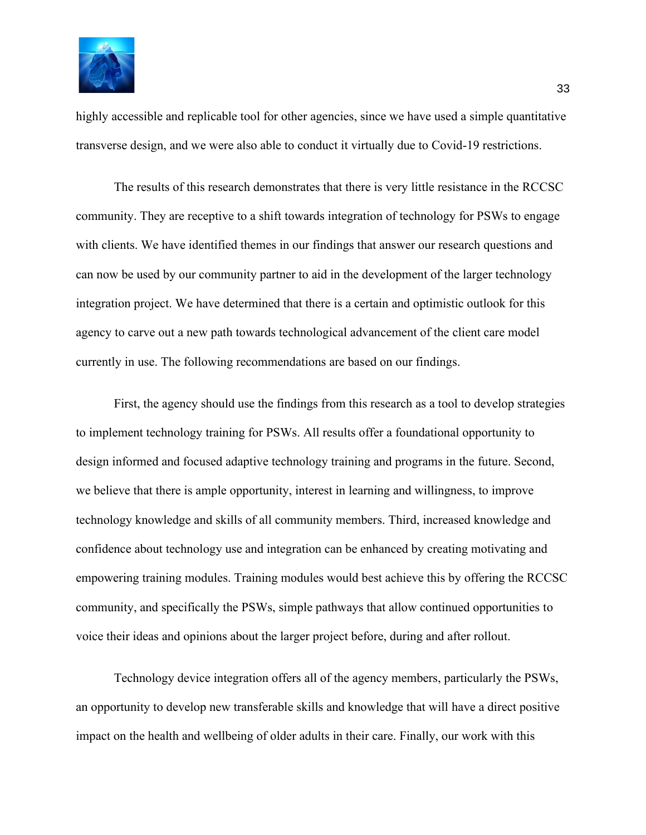

highly accessible and replicable tool for other agencies, since we have used a simple quantitative transverse design, and we were also able to conduct it virtually due to Covid-19 restrictions.

The results of this research demonstrates that there is very little resistance in the RCCSC community. They are receptive to a shift towards integration of technology for PSWs to engage with clients. We have identified themes in our findings that answer our research questions and can now be used by our community partner to aid in the development of the larger technology integration project. We have determined that there is a certain and optimistic outlook for this agency to carve out a new path towards technological advancement of the client care model currently in use. The following recommendations are based on our findings.

First, the agency should use the findings from this research as a tool to develop strategies to implement technology training for PSWs. All results offer a foundational opportunity to design informed and focused adaptive technology training and programs in the future. Second, we believe that there is ample opportunity, interest in learning and willingness, to improve technology knowledge and skills of all community members. Third, increased knowledge and confidence about technology use and integration can be enhanced by creating motivating and empowering training modules. Training modules would best achieve this by offering the RCCSC community, and specifically the PSWs, simple pathways that allow continued opportunities to voice their ideas and opinions about the larger project before, during and after rollout.

Technology device integration offers all of the agency members, particularly the PSWs, an opportunity to develop new transferable skills and knowledge that will have a direct positive impact on the health and wellbeing of older adults in their care. Finally, our work with this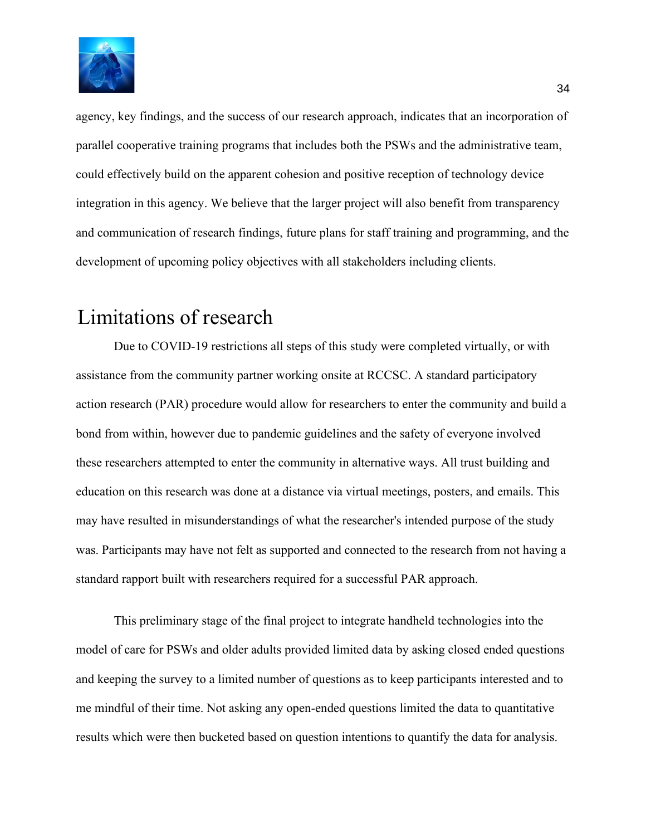

agency, key findings, and the success of our research approach, indicates that an incorporation of parallel cooperative training programs that includes both the PSWs and the administrative team, could effectively build on the apparent cohesion and positive reception of technology device integration in this agency. We believe that the larger project will also benefit from transparency and communication of research findings, future plans for staff training and programming, and the development of upcoming policy objectives with all stakeholders including clients.

# <span id="page-34-0"></span>Limitations of research

Due to COVID-19 restrictions all steps of this study were completed virtually, or with assistance from the community partner working onsite at RCCSC. A standard participatory action research (PAR) procedure would allow for researchers to enter the community and build a bond from within, however due to pandemic guidelines and the safety of everyone involved these researchers attempted to enter the community in alternative ways. All trust building and education on this research was done at a distance via virtual meetings, posters, and emails. This may have resulted in misunderstandings of what the researcher's intended purpose of the study was. Participants may have not felt as supported and connected to the research from not having a standard rapport built with researchers required for a successful PAR approach.

This preliminary stage of the final project to integrate handheld technologies into the model of care for PSWs and older adults provided limited data by asking closed ended questions and keeping the survey to a limited number of questions as to keep participants interested and to me mindful of their time. Not asking any open-ended questions limited the data to quantitative results which were then bucketed based on question intentions to quantify the data for analysis.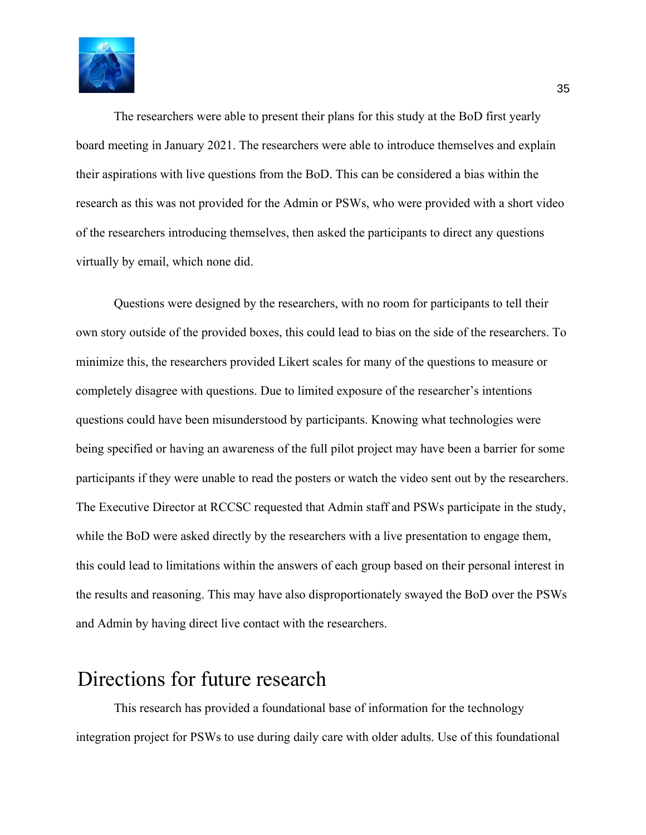

The researchers were able to present their plans for this study at the BoD first yearly board meeting in January 2021. The researchers were able to introduce themselves and explain their aspirations with live questions from the BoD. This can be considered a bias within the research as this was not provided for the Admin or PSWs, who were provided with a short video of the researchers introducing themselves, then asked the participants to direct any questions virtually by email, which none did.

Questions were designed by the researchers, with no room for participants to tell their own story outside of the provided boxes, this could lead to bias on the side of the researchers. To minimize this, the researchers provided Likert scales for many of the questions to measure or completely disagree with questions. Due to limited exposure of the researcher's intentions questions could have been misunderstood by participants. Knowing what technologies were being specified or having an awareness of the full pilot project may have been a barrier for some participants if they were unable to read the posters or watch the video sent out by the researchers. The Executive Director at RCCSC requested that Admin staff and PSWs participate in the study, while the BoD were asked directly by the researchers with a live presentation to engage them, this could lead to limitations within the answers of each group based on their personal interest in the results and reasoning. This may have also disproportionately swayed the BoD over the PSWs and Admin by having direct live contact with the researchers.

## <span id="page-35-0"></span>Directions for future research

This research has provided a foundational base of information for the technology integration project for PSWs to use during daily care with older adults. Use of this foundational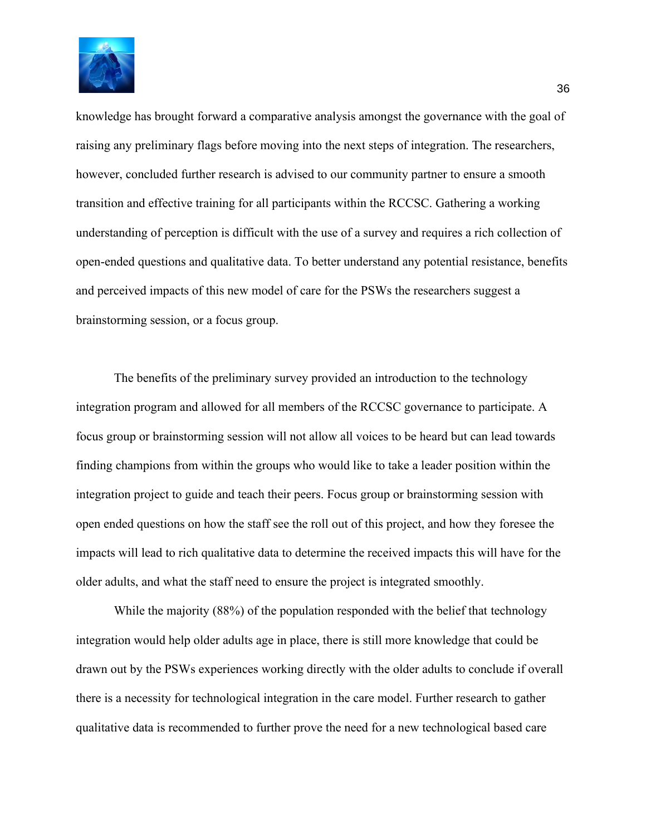

knowledge has brought forward a comparative analysis amongst the governance with the goal of raising any preliminary flags before moving into the next steps of integration. The researchers, however, concluded further research is advised to our community partner to ensure a smooth transition and effective training for all participants within the RCCSC. Gathering a working understanding of perception is difficult with the use of a survey and requires a rich collection of open-ended questions and qualitative data. To better understand any potential resistance, benefits and perceived impacts of this new model of care for the PSWs the researchers suggest a brainstorming session, or a focus group.

The benefits of the preliminary survey provided an introduction to the technology integration program and allowed for all members of the RCCSC governance to participate. A focus group or brainstorming session will not allow all voices to be heard but can lead towards finding champions from within the groups who would like to take a leader position within the integration project to guide and teach their peers. Focus group or brainstorming session with open ended questions on how the staff see the roll out of this project, and how they foresee the impacts will lead to rich qualitative data to determine the received impacts this will have for the older adults, and what the staff need to ensure the project is integrated smoothly.

While the majority (88%) of the population responded with the belief that technology integration would help older adults age in place, there is still more knowledge that could be drawn out by the PSWs experiences working directly with the older adults to conclude if overall there is a necessity for technological integration in the care model. Further research to gather qualitative data is recommended to further prove the need for a new technological based care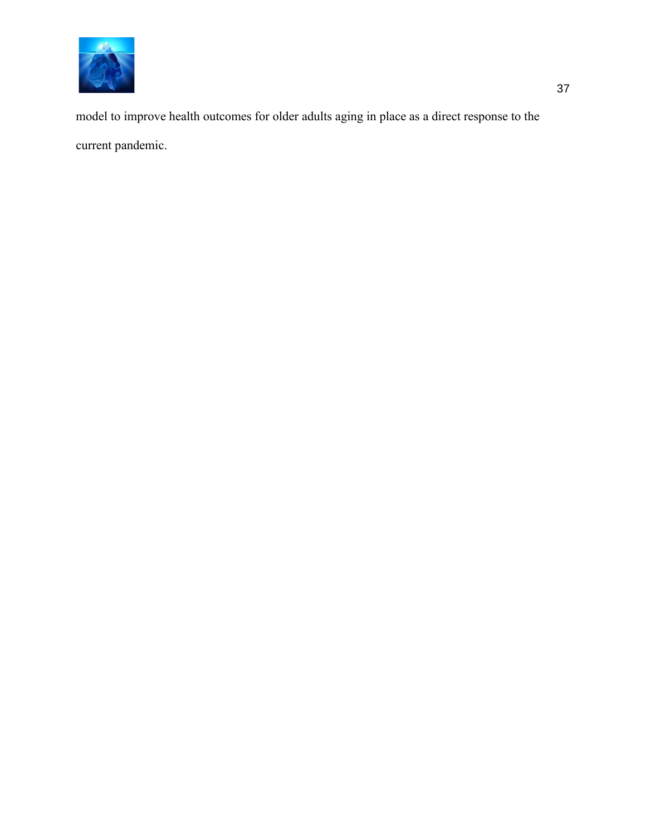

model to improve health outcomes for older adults aging in place as a direct response to the current pandemic.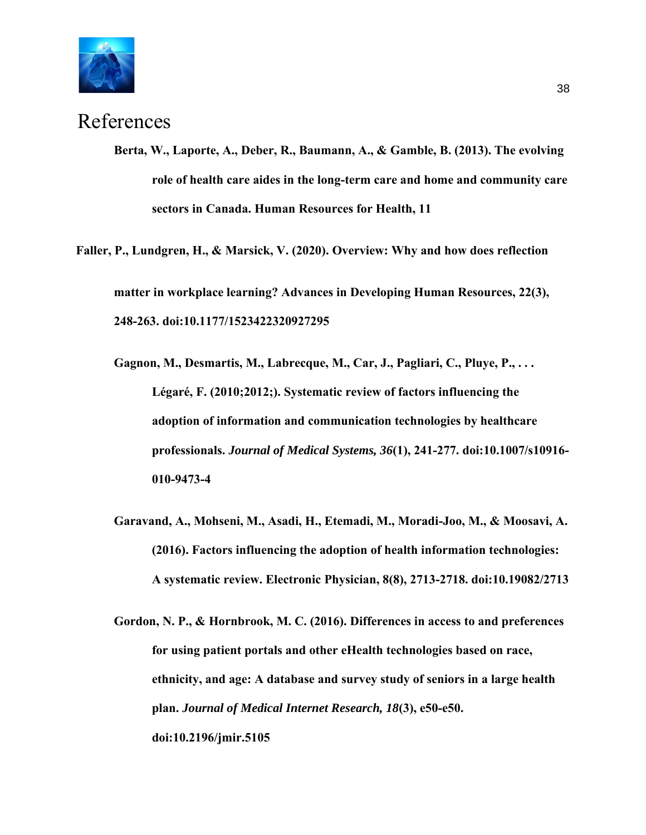

# <span id="page-38-0"></span>References

**Berta, W., Laporte, A., Deber, R., Baumann, A., & Gamble, B. (2013). The evolving role of health care aides in the long-term care and home and community care sectors in Canada. Human Resources for Health, 11**

**Faller, P., Lundgren, H., & Marsick, V. (2020). Overview: Why and how does reflection matter in workplace learning? Advances in Developing Human Resources, 22(3), 248-263. doi:10.1177/1523422320927295**

- **Gagnon, M., Desmartis, M., Labrecque, M., Car, J., Pagliari, C., Pluye, P., . . . Légaré, F. (2010;2012;). Systematic review of factors influencing the adoption of information and communication technologies by healthcare professionals.** *Journal of Medical Systems, 36***(1), 241-277. doi:10.1007/s10916- 010-9473-4**
- **Garavand, A., Mohseni, M., Asadi, H., Etemadi, M., Moradi-Joo, M., & Moosavi, A. (2016). Factors influencing the adoption of health information technologies: A systematic review. Electronic Physician, 8(8), 2713-2718. doi:10.19082/2713**
- **Gordon, N. P., & Hornbrook, M. C. (2016). Differences in access to and preferences for using patient portals and other eHealth technologies based on race, ethnicity, and age: A database and survey study of seniors in a large health plan.** *Journal of Medical Internet Research, 18***(3), e50-e50. doi:10.2196/jmir.5105**